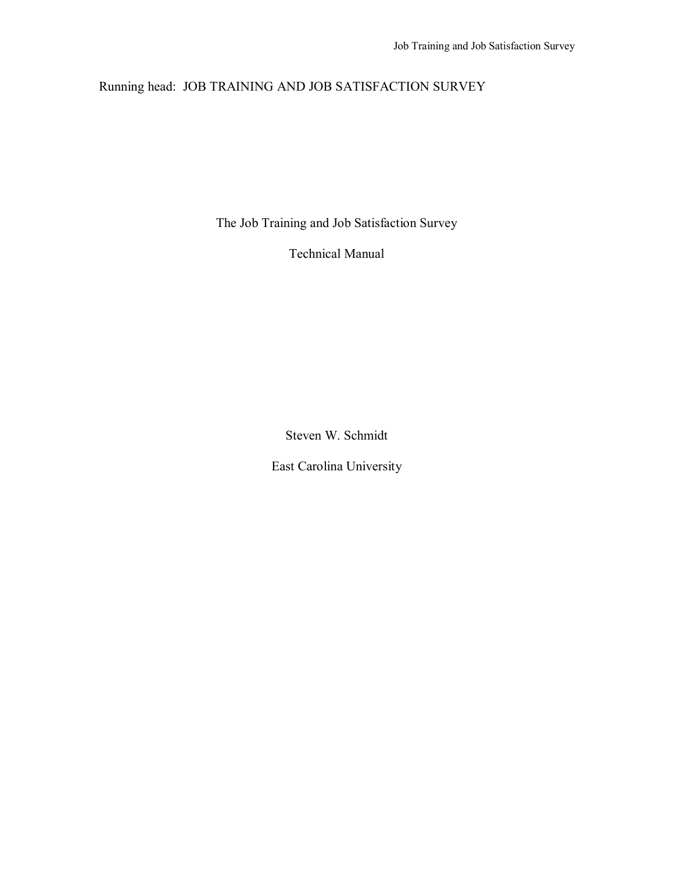# Running head: JOB TRAINING AND JOB SATISFACTION SURVEY

The Job Training and Job Satisfaction Survey

Technical Manual

Steven W. Schmidt

East Carolina University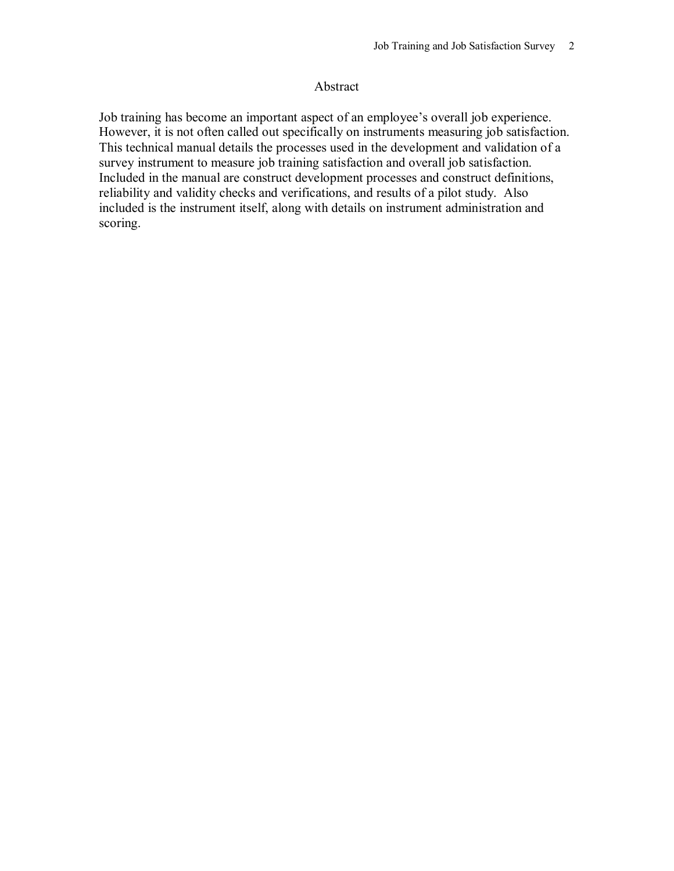### Abstract

Job training has become an important aspect of an employee's overall job experience. However, it is not often called out specifically on instruments measuring job satisfaction. This technical manual details the processes used in the development and validation of a survey instrument to measure job training satisfaction and overall job satisfaction. Included in the manual are construct development processes and construct definitions, reliability and validity checks and verifications, and results of a pilot study. Also included is the instrument itself, along with details on instrument administration and scoring.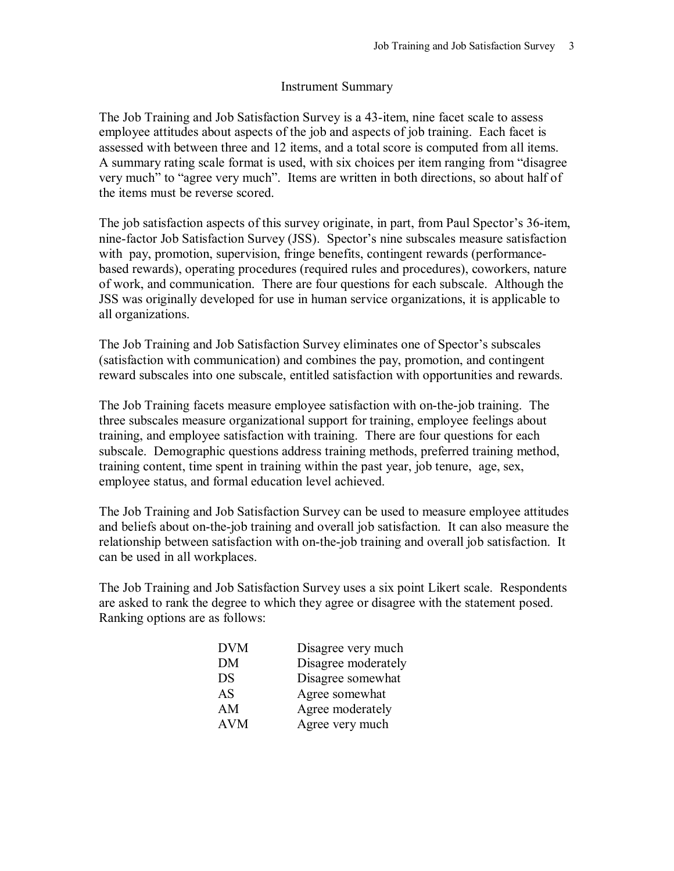### Instrument Summary

The Job Training and Job Satisfaction Survey is a 43-item, nine facet scale to assess employee attitudes about aspects of the job and aspects of job training. Each facet is assessed with between three and 12 items, and a total score is computed from all items. A summary rating scale format is used, with six choices per item ranging from "disagree" very much" to "agree very much". Items are written in both directions, so about half of the items must be reverse scored.

The job satisfaction aspects of this survey originate, in part, from Paul Spector's 36-item, nine-factor Job Satisfaction Survey (JSS). Spector's nine subscales measure satisfaction with pay, promotion, supervision, fringe benefits, contingent rewards (performancebased rewards), operating procedures (required rules and procedures), coworkers, nature of work, and communication. There are four questions for each subscale. Although the JSS was originally developed for use in human service organizations, it is applicable to all organizations.

The Job Training and Job Satisfaction Survey eliminates one of Spector's subscales (satisfaction with communication) and combines the pay, promotion, and contingent reward subscales into one subscale, entitled satisfaction with opportunities and rewards.

The Job Training facets measure employee satisfaction with on-the-job training. The three subscales measure organizational support for training, employee feelings about training, and employee satisfaction with training. There are four questions for each subscale. Demographic questions address training methods, preferred training method, training content, time spent in training within the past year, job tenure, age, sex, employee status, and formal education level achieved.

The Job Training and Job Satisfaction Survey can be used to measure employee attitudes and beliefs about on-the-job training and overall job satisfaction. It can also measure the relationship between satisfaction with on-the-job training and overall job satisfaction. It can be used in all workplaces.

The Job Training and Job Satisfaction Survey uses a six point Likert scale. Respondents are asked to rank the degree to which they agree or disagree with the statement posed. Ranking options are as follows:

| <b>DVM</b> | Disagree very much  |
|------------|---------------------|
| DM         | Disagree moderately |
| DS         | Disagree somewhat   |
| AS         | Agree somewhat      |
| AM         | Agree moderately    |
| <b>AVM</b> | Agree very much     |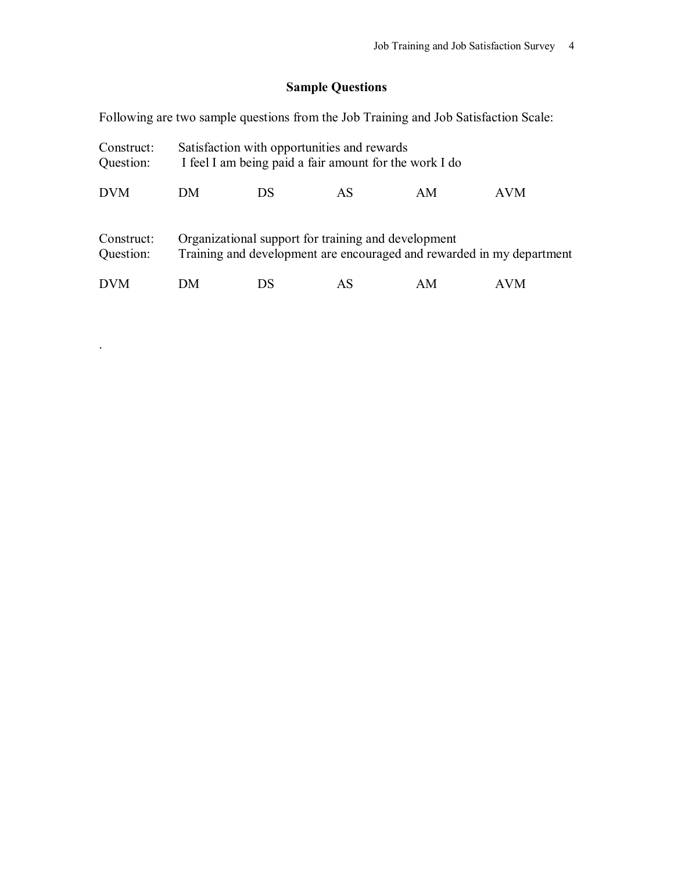# **Sample Questions**

Following are two sample questions from the Job Training and Job Satisfaction Scale:

| Construct:<br>Question: | Satisfaction with opportunities and rewards<br>I feel I am being paid a fair amount for the work I do |                                                     |    |    |                                                                       |
|-------------------------|-------------------------------------------------------------------------------------------------------|-----------------------------------------------------|----|----|-----------------------------------------------------------------------|
| <b>DVM</b>              | DM                                                                                                    | DS                                                  | AS | AM | AVM                                                                   |
| Construct:<br>Question: |                                                                                                       | Organizational support for training and development |    |    | Training and development are encouraged and rewarded in my department |
| <b>DVM</b>              | DМ                                                                                                    | DS                                                  | AS | AM | AVM                                                                   |

.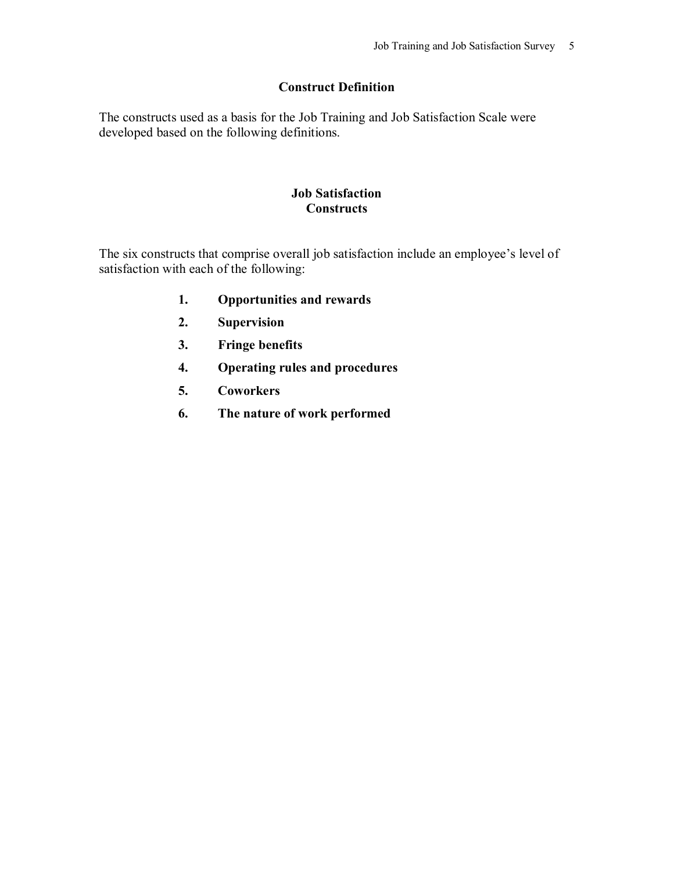## **Construct Definition**

The constructs used as a basis for the Job Training and Job Satisfaction Scale were developed based on the following definitions.

## **Job Satisfaction Constructs**

The six constructs that comprise overall job satisfaction include an employee's level of satisfaction with each of the following:

- **1. Opportunities and rewards**
- **2. Supervision**
- **3. Fringe benefits**
- **4. Operating rules and procedures**
- **5. Coworkers**
- **6. The nature of work performed**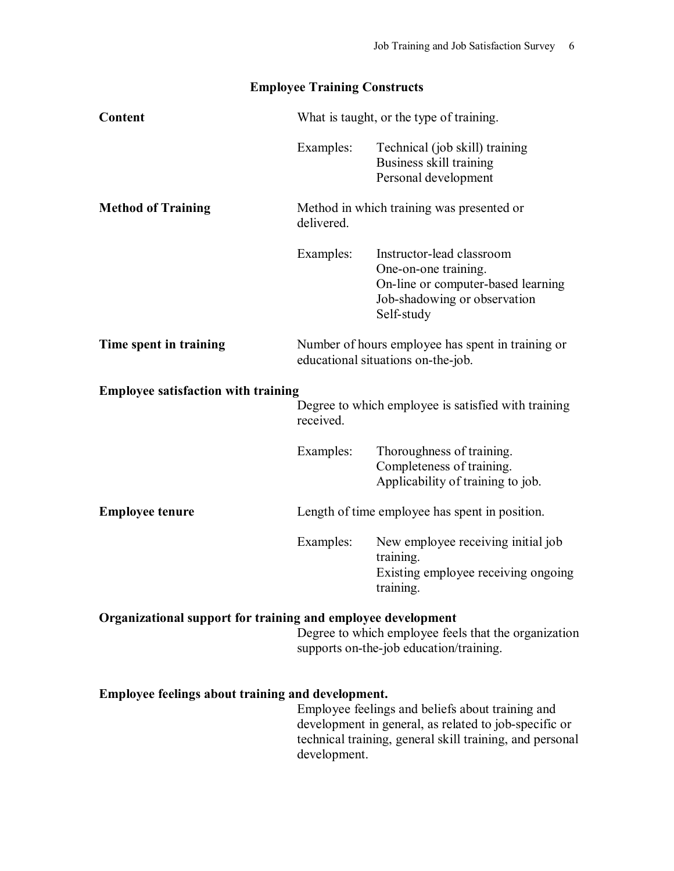|  |  | <b>Employee Training Constructs</b> |
|--|--|-------------------------------------|
|--|--|-------------------------------------|

| Content                                                      | What is taught, or the type of training. |                                                                                                                                                                       |
|--------------------------------------------------------------|------------------------------------------|-----------------------------------------------------------------------------------------------------------------------------------------------------------------------|
|                                                              | Examples:                                | Technical (job skill) training<br>Business skill training<br>Personal development                                                                                     |
| <b>Method of Training</b>                                    | delivered.                               | Method in which training was presented or                                                                                                                             |
|                                                              | Examples:                                | Instructor-lead classroom<br>One-on-one training.<br>On-line or computer-based learning<br>Job-shadowing or observation<br>Self-study                                 |
| Time spent in training                                       |                                          | Number of hours employee has spent in training or<br>educational situations on-the-job.                                                                               |
| <b>Employee satisfaction with training</b>                   |                                          |                                                                                                                                                                       |
|                                                              | received.                                | Degree to which employee is satisfied with training                                                                                                                   |
|                                                              | Examples:                                | Thoroughness of training.<br>Completeness of training.<br>Applicability of training to job.                                                                           |
| <b>Employee tenure</b>                                       |                                          | Length of time employee has spent in position.                                                                                                                        |
|                                                              | Examples:                                | New employee receiving initial job<br>training.<br>Existing employee receiving ongoing<br>training.                                                                   |
| Organizational support for training and employee development |                                          | Degree to which employee feels that the organization<br>supports on-the-job education/training.                                                                       |
| Employee feelings about training and development.            | development.                             | Employee feelings and beliefs about training and<br>development in general, as related to job-specific or<br>technical training, general skill training, and personal |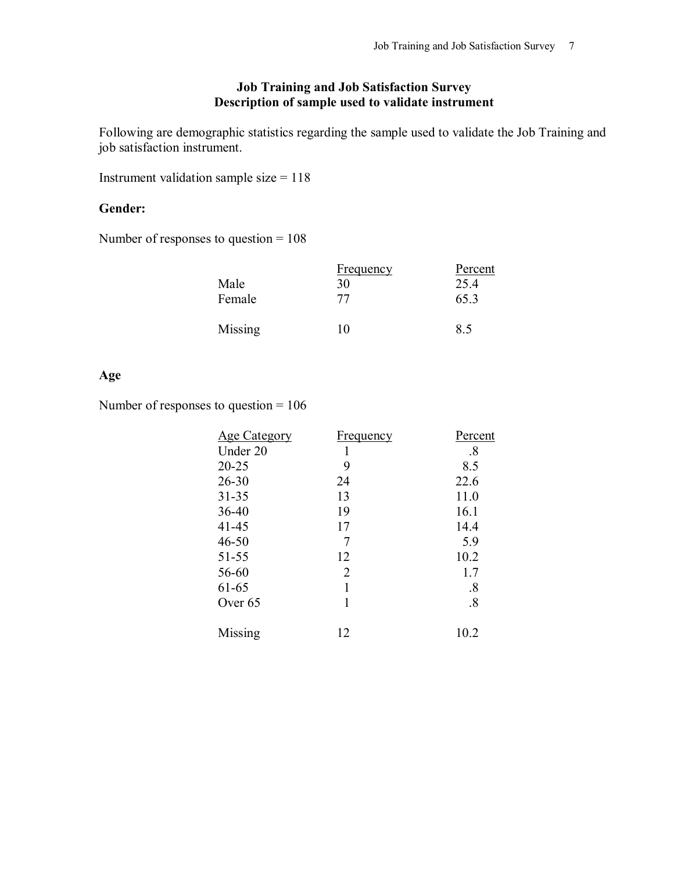## **Job Training and Job Satisfaction Survey Description of sample used to validate instrument**

Following are demographic statistics regarding the sample used to validate the Job Training and job satisfaction instrument.

Instrument validation sample size = 118

## **Gender:**

Number of responses to question = 108

|                | <b>Frequency</b> | Percent |
|----------------|------------------|---------|
| Male           | 30               | 25.4    |
| Female         | 77               | 65.3    |
| <b>Missing</b> | .U               | 8.5     |

## **Age**

Number of responses to question = 106

| Under 20<br>.8<br>1<br>$20 - 25$<br>9<br>8.5<br>$26 - 30$<br>22.6<br>24<br>13<br>$31 - 35$<br>11.0<br>19<br>16.1<br>$36 - 40$<br>$41 - 45$<br>17<br>14.4<br>$\overline{7}$<br>$46 - 50$<br>5.9<br>10.2<br>$51 - 55$<br>12<br>$\overline{2}$<br>56-60<br>1.7<br>61-65<br>.8<br>Over 65<br>.8 | Percent |
|---------------------------------------------------------------------------------------------------------------------------------------------------------------------------------------------------------------------------------------------------------------------------------------------|---------|
|                                                                                                                                                                                                                                                                                             |         |
|                                                                                                                                                                                                                                                                                             |         |
|                                                                                                                                                                                                                                                                                             |         |
|                                                                                                                                                                                                                                                                                             |         |
|                                                                                                                                                                                                                                                                                             |         |
|                                                                                                                                                                                                                                                                                             |         |
|                                                                                                                                                                                                                                                                                             |         |
|                                                                                                                                                                                                                                                                                             |         |
|                                                                                                                                                                                                                                                                                             |         |
|                                                                                                                                                                                                                                                                                             |         |
|                                                                                                                                                                                                                                                                                             |         |
| 10.2<br>Missing<br>12                                                                                                                                                                                                                                                                       |         |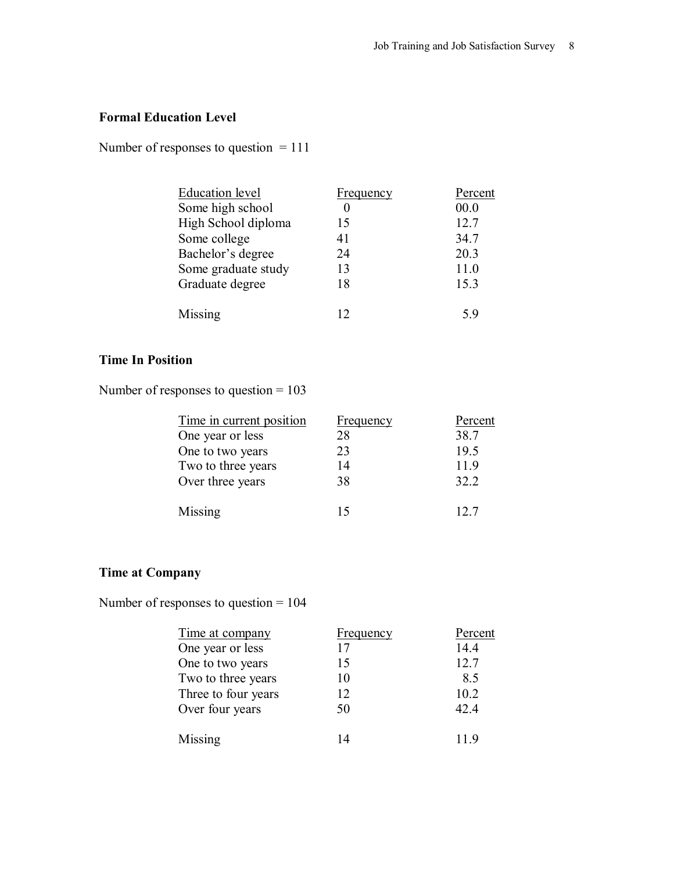# **Formal Education Level**

Number of responses to question = 111

| Education level     | <b>Frequency</b> | Percent |
|---------------------|------------------|---------|
| Some high school    |                  | 00.0    |
| High School diploma | 15               | 12.7    |
| Some college        | 41               | 34.7    |
| Bachelor's degree   | 24               | 20.3    |
| Some graduate study | 13               | 11.0    |
| Graduate degree     | 18               | 15.3    |
| Missing             | 12               | 5.9     |

# **Time In Position**

Number of responses to question = 103

| Time in current position | <b>Frequency</b> | Percent |
|--------------------------|------------------|---------|
| One year or less         | 28               | 38.7    |
| One to two years         | 23               | 19.5    |
| Two to three years       | 14               | 11.9    |
| Over three years         | 38               | 32.2    |
| Missing                  | 15               | 12.7    |

# **Time at Company**

Number of responses to question = 104

| Time at company     | <u>Frequency</u> | Percent |
|---------------------|------------------|---------|
| One year or less    | 17               | 14.4    |
| One to two years    | 15               | 12.7    |
| Two to three years  | 10               | 8.5     |
| Three to four years | 12               | 10.2    |
| Over four years     | 50               | 42.4    |
| Missing             | 14               | 11.9    |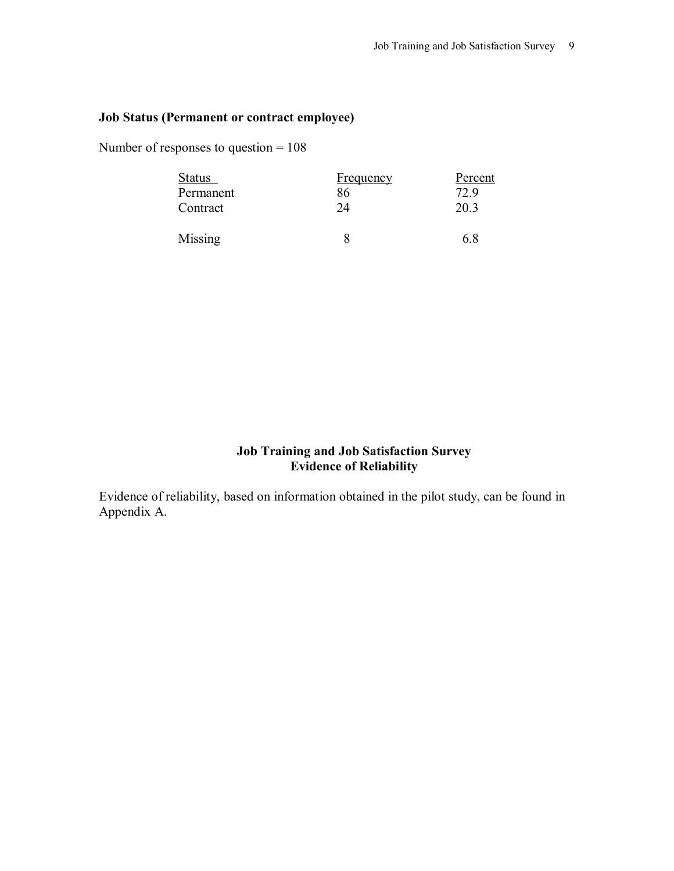## **Job Status (Permanent or contract employee)**

Number of responses to question = 108

| <b>Status</b><br>Permanent | <u>Frequency</u><br>86 | Percent<br>72.9 |
|----------------------------|------------------------|-----------------|
| Contract                   | 24                     | 20.3            |
| Missing                    |                        | 6.8             |

## **Job Training and Job Satisfaction Survey Evidence of Reliability**

Evidence of reliability, based on information obtained in the pilot study, can be found in Appendix A.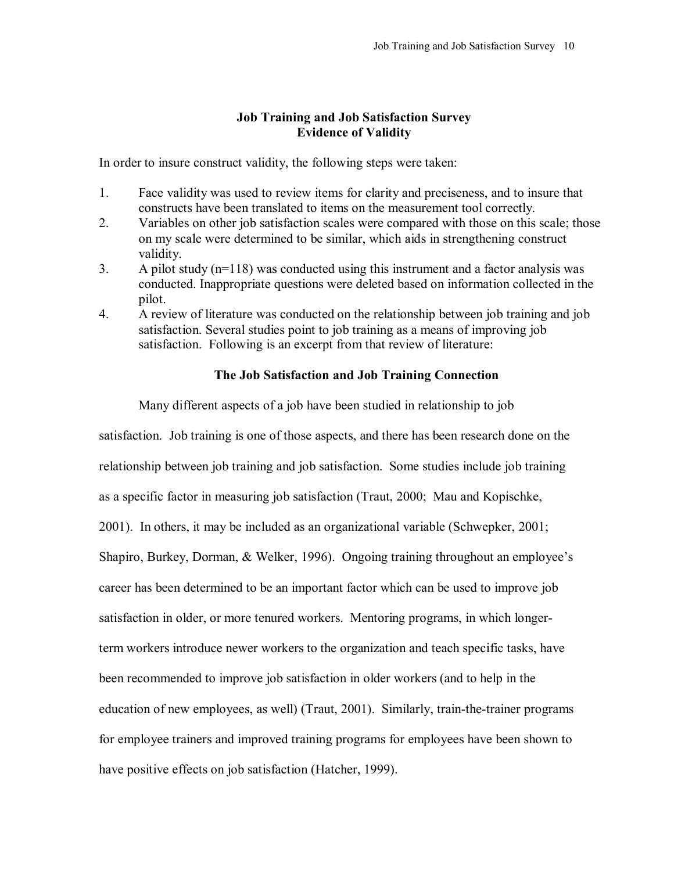### **Job Training and Job Satisfaction Survey Evidence of Validity**

In order to insure construct validity, the following steps were taken:

- 1. Face validity was used to review items for clarity and preciseness, and to insure that constructs have been translated to items on the measurement tool correctly.
- 2. Variables on other job satisfaction scales were compared with those on this scale; those on my scale were determined to be similar, which aids in strengthening construct validity.
- 3. A pilot study (n=118) was conducted using this instrument and a factor analysis was conducted. Inappropriate questions were deleted based on information collected in the pilot.
- 4. A review of literature was conducted on the relationship between job training and job satisfaction. Several studies point to job training as a means of improving job satisfaction. Following is an excerpt from that review of literature:

### **The Job Satisfaction and Job Training Connection**

Many different aspects of a job have been studied in relationship to job

satisfaction. Job training is one of those aspects, and there has been research done on the relationship between job training and job satisfaction. Some studies include job training as a specific factor in measuring job satisfaction (Traut, 2000; Mau and Kopischke, 2001). In others, it may be included as an organizational variable (Schwepker, 2001; Shapiro, Burkey, Dorman, & Welker, 1996). Ongoing training throughout an employee's career has been determined to be an important factor which can be used to improve job satisfaction in older, or more tenured workers. Mentoring programs, in which longerterm workers introduce newer workers to the organization and teach specific tasks, have been recommended to improve job satisfaction in older workers (and to help in the education of new employees, as well) (Traut, 2001). Similarly, train-the-trainer programs for employee trainers and improved training programs for employees have been shown to have positive effects on job satisfaction (Hatcher, 1999).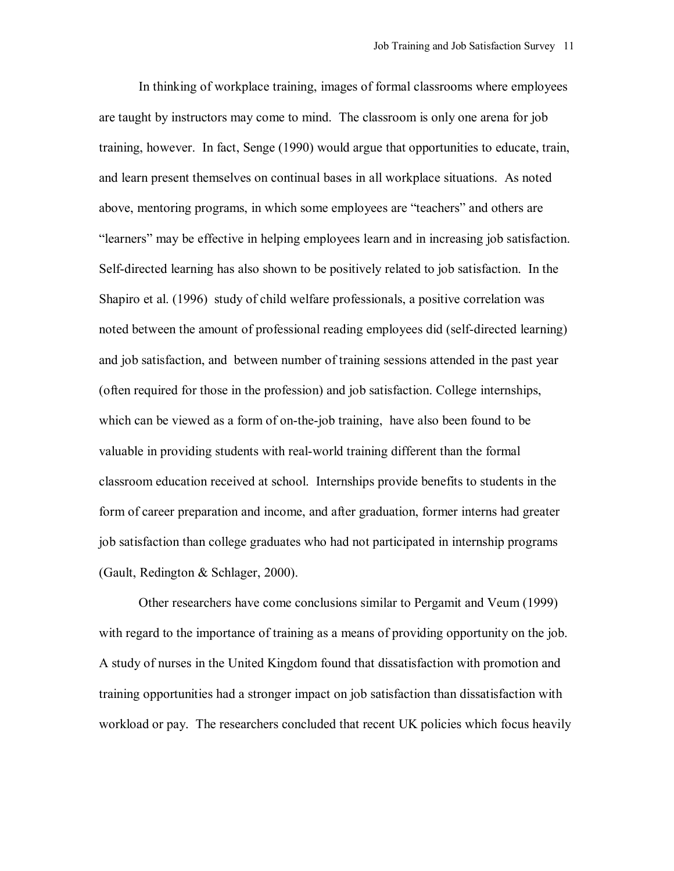In thinking of workplace training, images of formal classrooms where employees are taught by instructors may come to mind. The classroom is only one arena for job training, however. In fact, Senge (1990) would argue that opportunities to educate, train, and learn present themselves on continual bases in all workplace situations. As noted above, mentoring programs, in which some employees are "teachers" and others are ìlearnersî may be effective in helping employees learn and in increasing job satisfaction. Self-directed learning has also shown to be positively related to job satisfaction. In the Shapiro et al. (1996) study of child welfare professionals, a positive correlation was noted between the amount of professional reading employees did (self-directed learning) and job satisfaction, and between number of training sessions attended in the past year (often required for those in the profession) and job satisfaction. College internships, which can be viewed as a form of on-the-job training, have also been found to be valuable in providing students with real-world training different than the formal classroom education received at school. Internships provide benefits to students in the form of career preparation and income, and after graduation, former interns had greater job satisfaction than college graduates who had not participated in internship programs (Gault, Redington & Schlager, 2000).

Other researchers have come conclusions similar to Pergamit and Veum (1999) with regard to the importance of training as a means of providing opportunity on the job. A study of nurses in the United Kingdom found that dissatisfaction with promotion and training opportunities had a stronger impact on job satisfaction than dissatisfaction with workload or pay. The researchers concluded that recent UK policies which focus heavily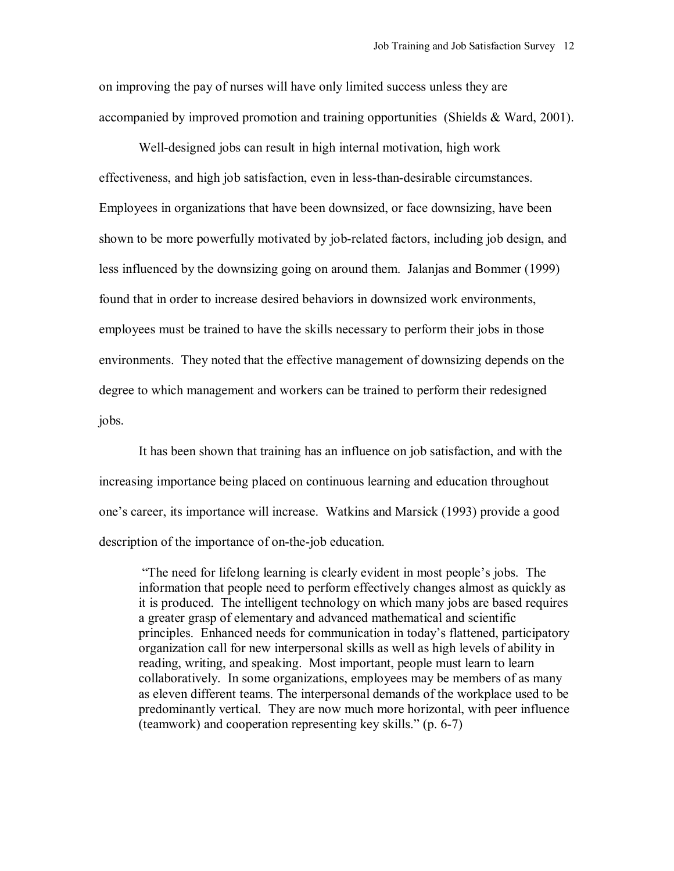on improving the pay of nurses will have only limited success unless they are accompanied by improved promotion and training opportunities (Shields & Ward, 2001).

Well-designed jobs can result in high internal motivation, high work effectiveness, and high job satisfaction, even in less-than-desirable circumstances. Employees in organizations that have been downsized, or face downsizing, have been shown to be more powerfully motivated by job-related factors, including job design, and less influenced by the downsizing going on around them. Jalanjas and Bommer (1999) found that in order to increase desired behaviors in downsized work environments, employees must be trained to have the skills necessary to perform their jobs in those environments. They noted that the effective management of downsizing depends on the degree to which management and workers can be trained to perform their redesigned jobs.

It has been shown that training has an influence on job satisfaction, and with the increasing importance being placed on continuous learning and education throughout one's career, its importance will increase. Watkins and Marsick (1993) provide a good description of the importance of on-the-job education.

"The need for lifelong learning is clearly evident in most people's jobs. The information that people need to perform effectively changes almost as quickly as it is produced. The intelligent technology on which many jobs are based requires a greater grasp of elementary and advanced mathematical and scientific principles. Enhanced needs for communication in todayís flattened, participatory organization call for new interpersonal skills as well as high levels of ability in reading, writing, and speaking. Most important, people must learn to learn collaboratively. In some organizations, employees may be members of as many as eleven different teams. The interpersonal demands of the workplace used to be predominantly vertical. They are now much more horizontal, with peer influence (teamwork) and cooperation representing key skills."  $(p. 6-7)$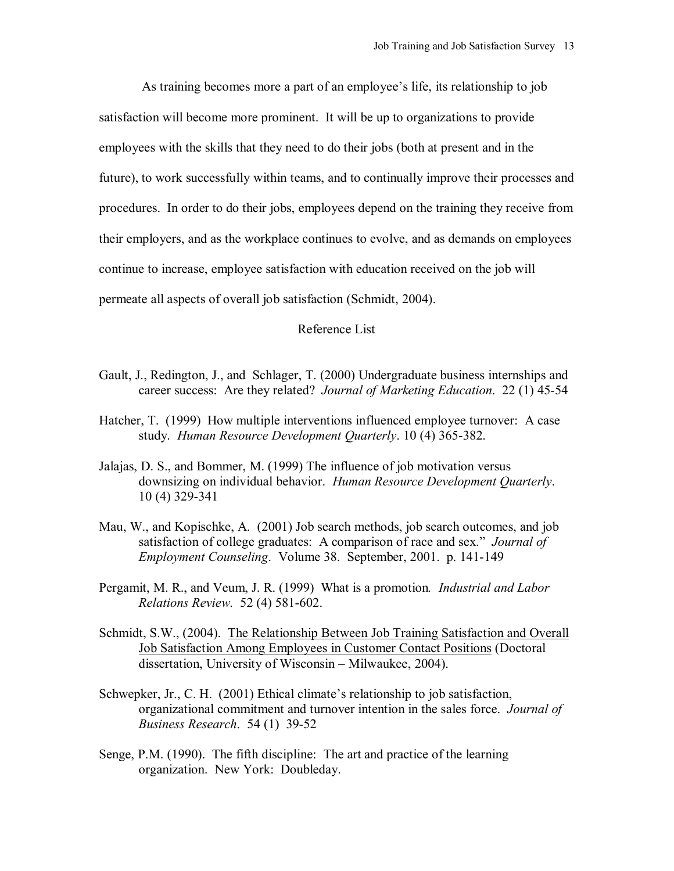As training becomes more a part of an employee's life, its relationship to job satisfaction will become more prominent. It will be up to organizations to provide employees with the skills that they need to do their jobs (both at present and in the future), to work successfully within teams, and to continually improve their processes and procedures. In order to do their jobs, employees depend on the training they receive from their employers, and as the workplace continues to evolve, and as demands on employees continue to increase, employee satisfaction with education received on the job will permeate all aspects of overall job satisfaction (Schmidt, 2004).

#### Reference List

- Gault, J., Redington, J., and Schlager, T. (2000) Undergraduate business internships and career success: Are they related? *Journal of Marketing Education*. 22 (1) 45-54
- Hatcher, T. (1999) How multiple interventions influenced employee turnover: A case study. *Human Resource Development Quarterly*. 10 (4) 365-382.
- Jalajas, D. S., and Bommer, M. (1999) The influence of job motivation versus downsizing on individual behavior. *Human Resource Development Quarterly*. 10 (4) 329-341
- Mau, W., and Kopischke, A. (2001) Job search methods, job search outcomes, and job satisfaction of college graduates: A comparison of race and sex." *Journal of Employment Counseling*. Volume 38. September, 2001. p. 141-149
- Pergamit, M. R., and Veum, J. R. (1999) What is a promotion*. Industrial and Labor Relations Review*. 52 (4) 581-602.
- Schmidt, S.W., (2004). The Relationship Between Job Training Satisfaction and Overall Job Satisfaction Among Employees in Customer Contact Positions (Doctoral dissertation, University of Wisconsin – Milwaukee, 2004).
- Schwepker, Jr., C. H.  $(2001)$  Ethical climate's relationship to job satisfaction, organizational commitment and turnover intention in the sales force. *Journal of Business Research*. 54 (1) 39-52
- Senge, P.M. (1990). The fifth discipline: The art and practice of the learning organization. New York: Doubleday.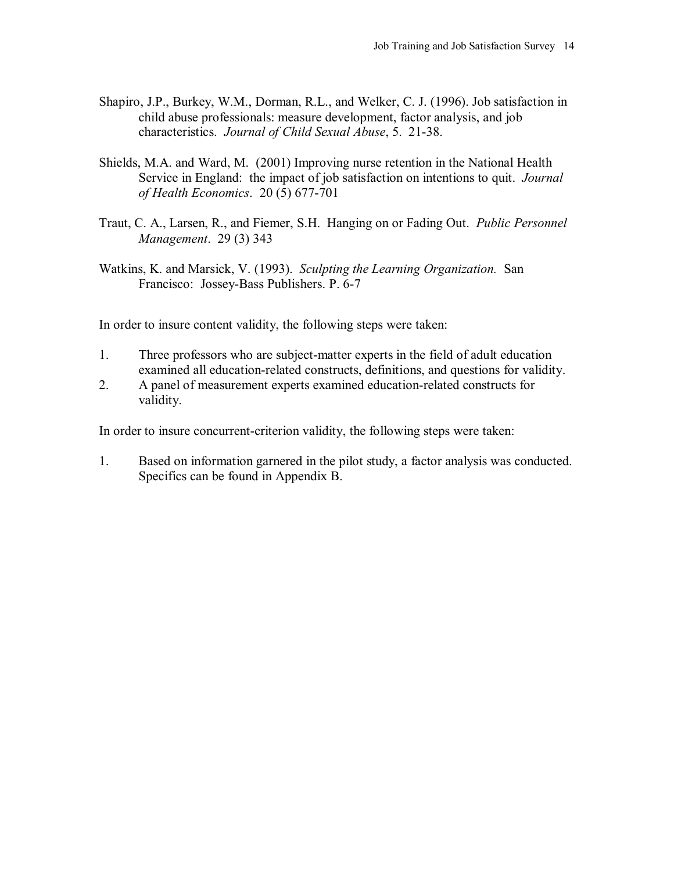- Shapiro, J.P., Burkey, W.M., Dorman, R.L., and Welker, C. J. (1996). Job satisfaction in child abuse professionals: measure development, factor analysis, and job characteristics. *Journal of Child Sexual Abuse*, 5. 21-38.
- Shields, M.A. and Ward, M. (2001) Improving nurse retention in the National Health Service in England: the impact of job satisfaction on intentions to quit. *Journal of Health Economics*. 20 (5) 677-701
- Traut, C. A., Larsen, R., and Fiemer, S.H. Hanging on or Fading Out. *Public Personnel Management*. 29 (3) 343
- Watkins, K. and Marsick, V. (1993). *Sculpting the Learning Organization.* San Francisco: Jossey-Bass Publishers. P. 6-7

In order to insure content validity, the following steps were taken:

- 1. Three professors who are subject-matter experts in the field of adult education examined all education-related constructs, definitions, and questions for validity.
- 2. A panel of measurement experts examined education-related constructs for validity.

In order to insure concurrent-criterion validity, the following steps were taken:

1. Based on information garnered in the pilot study, a factor analysis was conducted. Specifics can be found in Appendix B.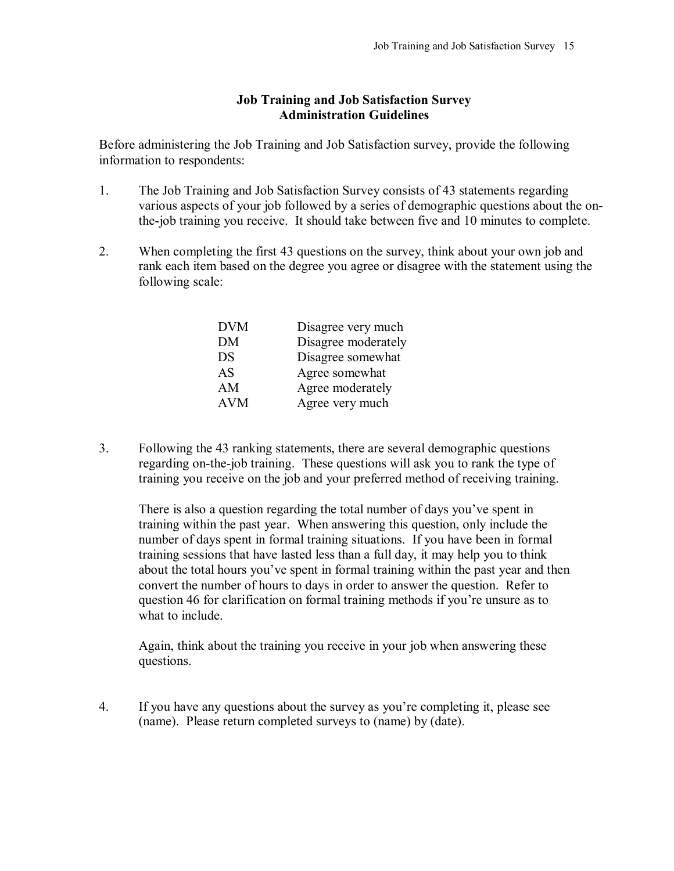### **Job Training and Job Satisfaction Survey Administration Guidelines**

Before administering the Job Training and Job Satisfaction survey, provide the following information to respondents:

- 1. The Job Training and Job Satisfaction Survey consists of 43 statements regarding various aspects of your job followed by a series of demographic questions about the onthe-job training you receive. It should take between five and 10 minutes to complete.
- 2. When completing the first 43 questions on the survey, think about your own job and rank each item based on the degree you agree or disagree with the statement using the following scale:

| Disagree very much  |
|---------------------|
| Disagree moderately |
| Disagree somewhat   |
|                     |
|                     |
|                     |
|                     |

3. Following the 43 ranking statements, there are several demographic questions regarding on-the-job training. These questions will ask you to rank the type of training you receive on the job and your preferred method of receiving training.

There is also a question regarding the total number of days you've spent in training within the past year. When answering this question, only include the number of days spent in formal training situations. If you have been in formal training sessions that have lasted less than a full day, it may help you to think about the total hours you've spent in formal training within the past year and then convert the number of hours to days in order to answer the question. Refer to question 46 for clarification on formal training methods if you're unsure as to what to include.

Again, think about the training you receive in your job when answering these questions.

4. If you have any questions about the survey as youíre completing it, please see (name). Please return completed surveys to (name) by (date).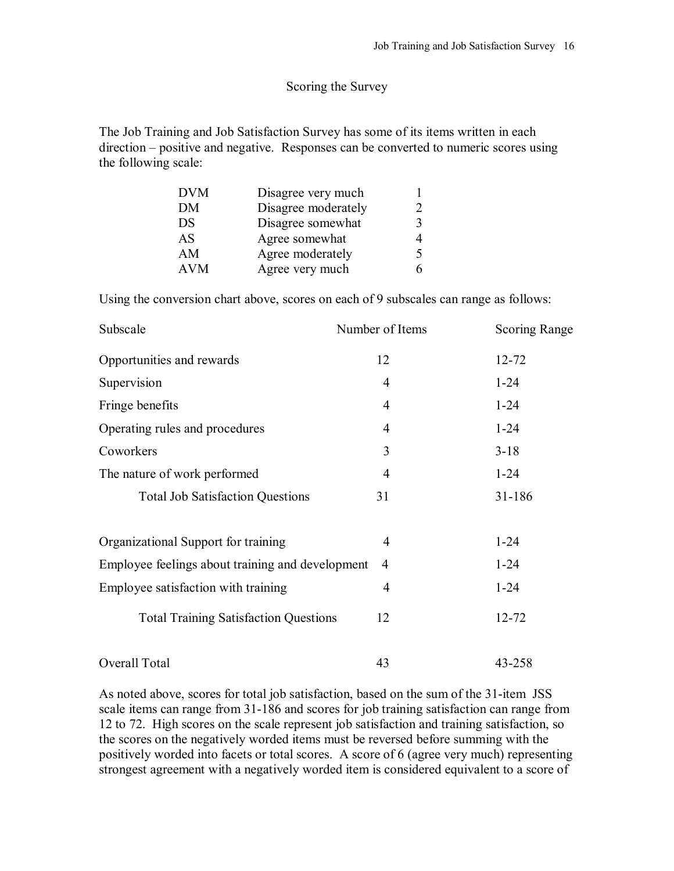### Scoring the Survey

The Job Training and Job Satisfaction Survey has some of its items written in each  $direction - positive$  and negative. Responses can be converted to numeric scores using the following scale:

| <b>DVM</b> | Disagree very much  |  |
|------------|---------------------|--|
| DМ         | Disagree moderately |  |
| DS         | Disagree somewhat   |  |
| AS         | Agree somewhat      |  |
| ΑM         | Agree moderately    |  |
| AVM        | Agree very much     |  |

Using the conversion chart above, scores on each of 9 subscales can range as follows:

| Subscale                                         | Number of Items | <b>Scoring Range</b> |
|--------------------------------------------------|-----------------|----------------------|
| Opportunities and rewards                        | 12              | $12 - 72$            |
| Supervision                                      | 4               | $1 - 24$             |
| Fringe benefits                                  | $\overline{4}$  | $1 - 24$             |
| Operating rules and procedures                   | $\overline{4}$  | $1 - 24$             |
| Coworkers                                        | 3               | $3 - 18$             |
| The nature of work performed                     | 4               | $1 - 24$             |
| <b>Total Job Satisfaction Questions</b>          | 31              | 31-186               |
| Organizational Support for training              | $\overline{4}$  | $1 - 24$             |
| Employee feelings about training and development | $\overline{4}$  | $1 - 24$             |
| Employee satisfaction with training              | $\overline{4}$  | $1 - 24$             |
| <b>Total Training Satisfaction Questions</b>     | 12              | 12-72                |
| Overall Total                                    | 43              | 43-258               |

As noted above, scores for total job satisfaction, based on the sum of the 31-item JSS scale items can range from 31-186 and scores for job training satisfaction can range from 12 to 72. High scores on the scale represent job satisfaction and training satisfaction, so the scores on the negatively worded items must be reversed before summing with the positively worded into facets or total scores. A score of 6 (agree very much) representing strongest agreement with a negatively worded item is considered equivalent to a score of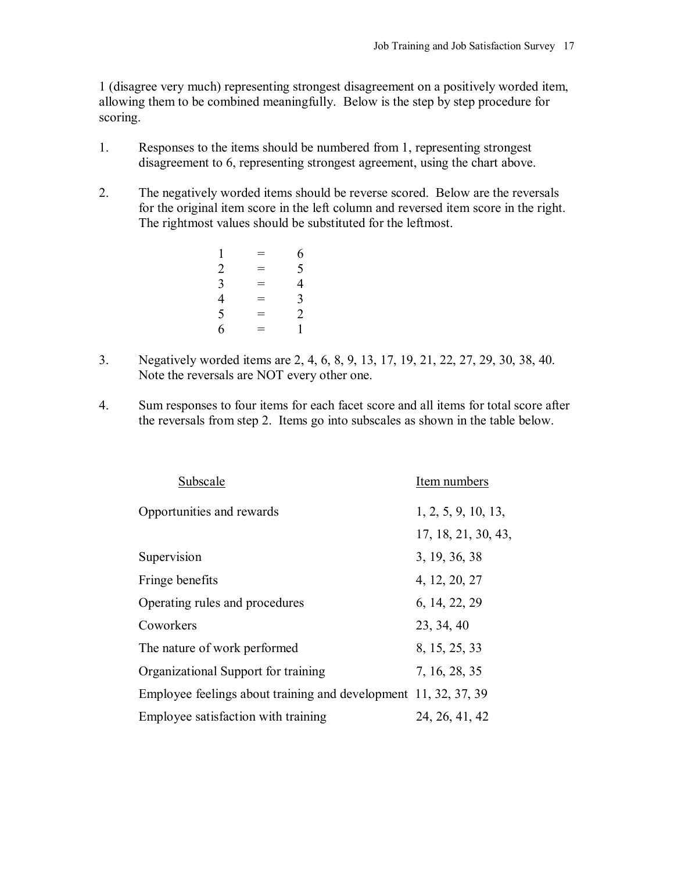1 (disagree very much) representing strongest disagreement on a positively worded item, allowing them to be combined meaningfully. Below is the step by step procedure for scoring.

- 1. Responses to the items should be numbered from 1, representing strongest disagreement to 6, representing strongest agreement, using the chart above.
- 2. The negatively worded items should be reverse scored. Below are the reversals for the original item score in the left column and reversed item score in the right. The rightmost values should be substituted for the leftmost.

| 1              | $=$ | 6              |
|----------------|-----|----------------|
| $\overline{c}$ | $=$ | 5              |
| 3              | $=$ | 4              |
| 4              | $=$ | $\overline{3}$ |
| 5              | $=$ | $\overline{2}$ |
| 6              | $=$ | 1              |

- 3. Negatively worded items are 2, 4, 6, 8, 9, 13, 17, 19, 21, 22, 27, 29, 30, 38, 40. Note the reversals are NOT every other one.
- 4. Sum responses to four items for each facet score and all items for total score after the reversals from step 2. Items go into subscales as shown in the table below.

| Subscale                                                        | Item numbers        |
|-----------------------------------------------------------------|---------------------|
| Opportunities and rewards                                       | 1, 2, 5, 9, 10, 13, |
|                                                                 | 17, 18, 21, 30, 43, |
| Supervision                                                     | 3, 19, 36, 38       |
| Fringe benefits                                                 | 4, 12, 20, 27       |
| Operating rules and procedures                                  | 6, 14, 22, 29       |
| Coworkers                                                       | 23, 34, 40          |
| The nature of work performed                                    | 8, 15, 25, 33       |
| Organizational Support for training                             | 7, 16, 28, 35       |
| Employee feelings about training and development 11, 32, 37, 39 |                     |
| Employee satisfaction with training                             | 24, 26, 41, 42      |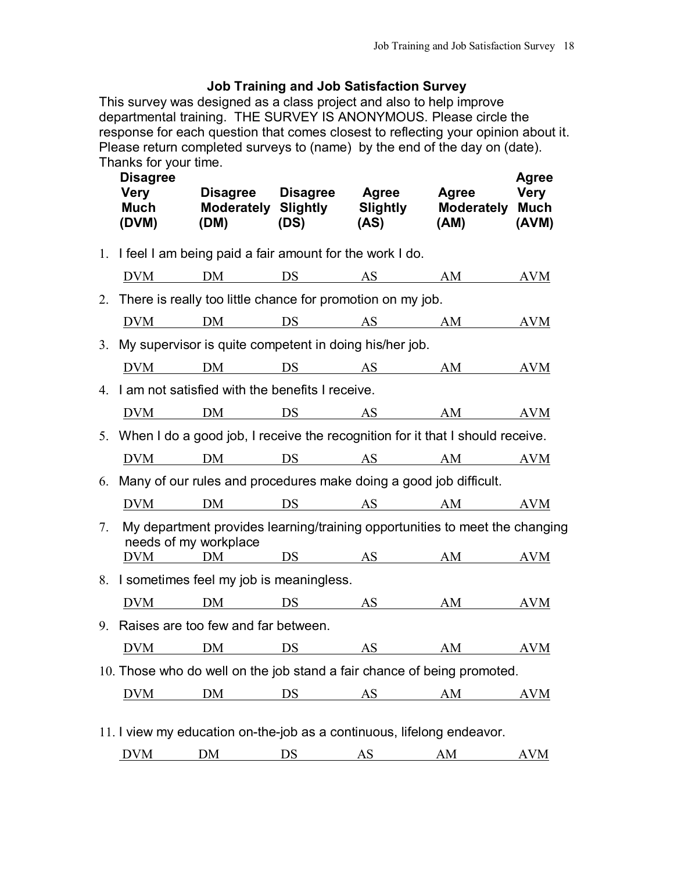# **Job Training and Job Satisfaction Survey**

This survey was designed as a class project and also to help improve departmental training. THE SURVEY IS ANONYMOUS. Please circle the response for each question that comes closest to reflecting your opinion about it. Please return completed surveys to (name) by the end of the day on (date). Thanks for your time.

|    | <b>Disagree</b><br><b>Very</b><br><b>Much</b><br>(DVM) | (DM)                                                       | (DS) | Disagree Disagree Agree<br>Moderately Slightly Slightly<br>(AS)                  | Agree<br><b>Moderately Much</b><br>(AM) | <b>Agree</b><br>Very<br>(AVM) |
|----|--------------------------------------------------------|------------------------------------------------------------|------|----------------------------------------------------------------------------------|-----------------------------------------|-------------------------------|
|    |                                                        | 1. I feel I am being paid a fair amount for the work I do. |      |                                                                                  |                                         |                               |
|    |                                                        |                                                            |      | <u>DVM DM DS AS AM</u>                                                           |                                         | <b>AVM</b>                    |
|    |                                                        |                                                            |      | 2. There is really too little chance for promotion on my job.                    |                                         |                               |
|    |                                                        |                                                            |      | <u>DVM DM DS AS AM</u>                                                           |                                         | <b>AVM</b>                    |
|    |                                                        |                                                            |      | 3. My supervisor is quite competent in doing his/her job.                        |                                         |                               |
|    |                                                        |                                                            |      | DVM DM DS AS AM AVM                                                              |                                         |                               |
|    |                                                        | 4. I am not satisfied with the benefits I receive.         |      |                                                                                  |                                         |                               |
|    |                                                        |                                                            |      | <u>DVM DM DS AS AM AVM</u>                                                       |                                         |                               |
|    |                                                        |                                                            |      | 5. When I do a good job, I receive the recognition for it that I should receive. |                                         |                               |
|    |                                                        |                                                            |      | DVM DM DS AS AM AVM                                                              |                                         |                               |
|    |                                                        |                                                            |      | 6. Many of our rules and procedures make doing a good job difficult.             |                                         |                               |
|    |                                                        |                                                            |      | DVM DM DS AS AM AVM                                                              |                                         |                               |
| 7. | needs of my workplace                                  |                                                            |      | My department provides learning/training opportunities to meet the changing      |                                         |                               |
|    |                                                        |                                                            |      | DVM DM DS AS AM AVM                                                              |                                         |                               |
|    |                                                        | 8. I sometimes feel my job is meaningless.                 |      |                                                                                  |                                         |                               |
|    |                                                        |                                                            |      | <u>DVM</u> DM DS AS AM                                                           |                                         | <b>AVM</b>                    |
|    |                                                        | 9. Raises are too few and far between.                     |      |                                                                                  |                                         |                               |
|    |                                                        |                                                            |      | DVM DM DS AS AM AVM                                                              |                                         |                               |
|    |                                                        |                                                            |      | 10. Those who do well on the job stand a fair chance of being promoted.          |                                         |                               |
|    |                                                        |                                                            |      | DVM DM DS AS AM AVM                                                              |                                         |                               |
|    |                                                        |                                                            |      | 11. I view my education on-the-job as a continuous, lifelong endeavor.           |                                         |                               |

DVM DM DS AS AM AVM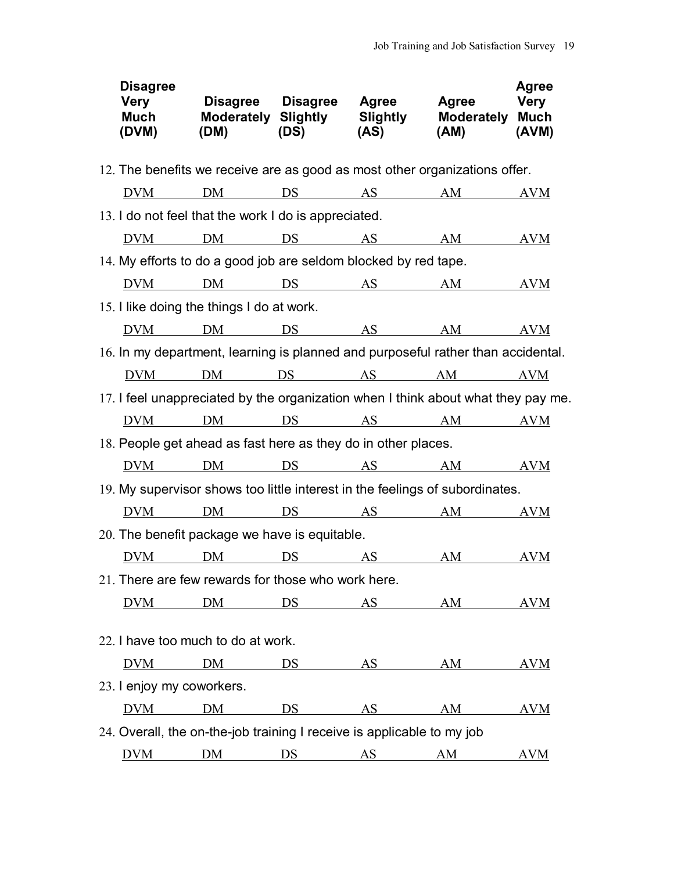| <b>Disagree</b><br>Very<br><b>Much</b><br>(DVM) | Disagree Disagree Agree<br>(DM)                                        | (DS) | (AS) | Agree<br>Moderately Slightly Slightly Moderately Much<br>$(AM)$ $(AVM)$           | <b>Agree</b><br>Very |
|-------------------------------------------------|------------------------------------------------------------------------|------|------|-----------------------------------------------------------------------------------|----------------------|
|                                                 |                                                                        |      |      | 12. The benefits we receive are as good as most other organizations offer.        |                      |
|                                                 |                                                                        |      |      | <u>DVM</u> DM DS AS AM                                                            | <b>AVM</b>           |
|                                                 | 13. I do not feel that the work I do is appreciated.                   |      |      |                                                                                   |                      |
|                                                 |                                                                        |      |      | <u>DVM</u> DM DS AS AM                                                            | AVM                  |
|                                                 | 14. My efforts to do a good job are seldom blocked by red tape.        |      |      |                                                                                   |                      |
|                                                 |                                                                        |      |      | <u>DVM DM DS AS AM AVM</u>                                                        |                      |
|                                                 | 15. I like doing the things I do at work.                              |      |      |                                                                                   |                      |
|                                                 |                                                                        |      |      | <u>DVM DM DS AS AM AVM</u>                                                        |                      |
|                                                 |                                                                        |      |      | 16. In my department, learning is planned and purposeful rather than accidental.  |                      |
|                                                 |                                                                        |      |      | <u>DVM</u> DM DS AS AM AVM                                                        |                      |
|                                                 |                                                                        |      |      | 17. I feel unappreciated by the organization when I think about what they pay me. |                      |
|                                                 |                                                                        |      |      | DVM DM DS AS AM AVM                                                               |                      |
|                                                 | 18. People get ahead as fast here as they do in other places.          |      |      |                                                                                   |                      |
|                                                 |                                                                        |      |      | <u>DVM</u> DM DS AS AM AVM                                                        |                      |
|                                                 |                                                                        |      |      | 19. My supervisor shows too little interest in the feelings of subordinates.      |                      |
|                                                 |                                                                        |      |      | <u>DVM</u> DM DS AS AM AVM                                                        |                      |
|                                                 | 20. The benefit package we have is equitable.                          |      |      |                                                                                   |                      |
|                                                 |                                                                        |      |      | <u>DVM DM DS AS AM AVM</u>                                                        |                      |
|                                                 | 21. There are few rewards for those who work here.                     |      |      |                                                                                   |                      |
| <b>DVM</b>                                      |                                                                        |      |      | DM <u>DS AS</u> AM                                                                | <b>AVM</b>           |
|                                                 | 22. I have too much to do at work.                                     |      |      |                                                                                   |                      |
| <b>DVM</b>                                      | DM                                                                     |      |      | DS AS AM                                                                          | AVM                  |
| 23. I enjoy my coworkers.                       |                                                                        |      |      |                                                                                   |                      |
| <b>DVM</b>                                      | DM                                                                     |      |      | DS AS AM                                                                          | <b>AVM</b>           |
|                                                 | 24. Overall, the on-the-job training I receive is applicable to my job |      |      |                                                                                   |                      |
|                                                 |                                                                        |      |      | <u>DVM</u> DM DS AS AM                                                            | <b>AVM</b>           |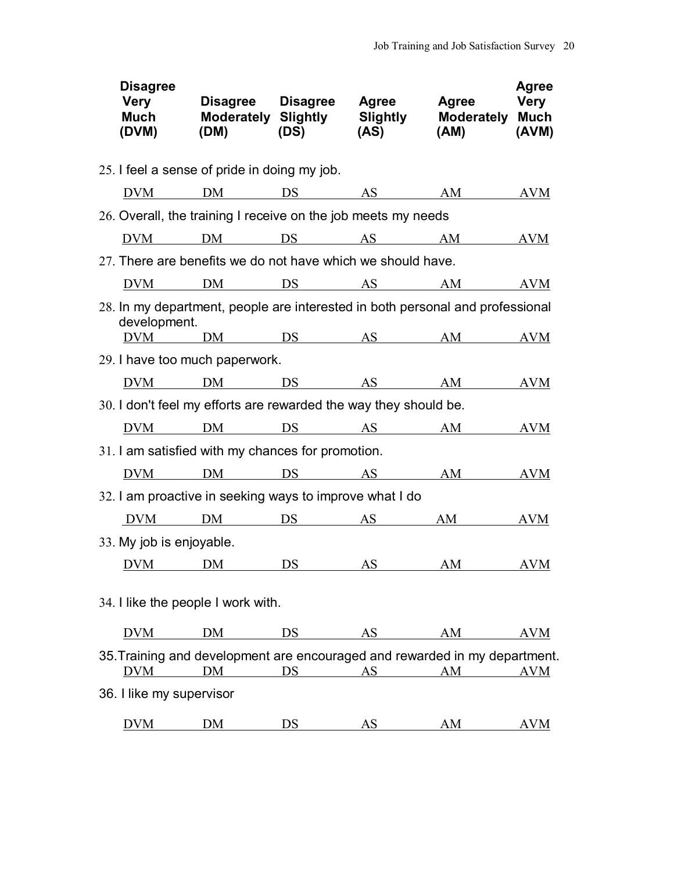| <b>Disagree</b><br><b>Very</b><br>(DVM) | Much Moderately Slightly Slightly Moderately Much                                                        | $(DM)$ $(DS)$ $(AS)$ | Disagree Disagree Agree Agree Very<br>$(AM)$ $(AVM)$ | <b>Agree</b> |
|-----------------------------------------|----------------------------------------------------------------------------------------------------------|----------------------|------------------------------------------------------|--------------|
|                                         | 25. I feel a sense of pride in doing my job.                                                             |                      |                                                      |              |
|                                         | <u>DVM DM DS AS AM AVM</u>                                                                               |                      |                                                      |              |
|                                         | 26. Overall, the training I receive on the job meets my needs                                            |                      |                                                      |              |
|                                         | <u>DVM DM DS AS AM AVM</u>                                                                               |                      |                                                      |              |
|                                         | 27. There are benefits we do not have which we should have.                                              |                      |                                                      |              |
|                                         | <u>DVM</u> DM DS AS AM AVM                                                                               |                      |                                                      |              |
| development.                            | 28. In my department, people are interested in both personal and professional                            |                      |                                                      |              |
|                                         | <u>DVM DM DS AS AM AVM</u>                                                                               |                      |                                                      |              |
|                                         | 29. I have too much paperwork.                                                                           |                      |                                                      |              |
|                                         | DVM DM DS AS AM AVM                                                                                      |                      |                                                      |              |
|                                         | 30. I don't feel my efforts are rewarded the way they should be.                                         |                      |                                                      |              |
|                                         | <u>DVM DM DS AS AM AVM</u>                                                                               |                      |                                                      |              |
|                                         | 31. I am satisfied with my chances for promotion.                                                        |                      |                                                      |              |
|                                         | <u>DVM</u> DM DS AS AM AVM                                                                               |                      |                                                      |              |
|                                         | 32. I am proactive in seeking ways to improve what I do                                                  |                      |                                                      |              |
|                                         | <u>DVM DM DS AS AM AVM</u>                                                                               |                      |                                                      |              |
| 33. My job is enjoyable.                |                                                                                                          |                      |                                                      |              |
|                                         | DVM DM DS AS AM AVM                                                                                      |                      |                                                      |              |
|                                         | 34. I like the people I work with.                                                                       |                      |                                                      |              |
|                                         | <u>DVM DM DS AS AM AVM</u>                                                                               |                      |                                                      |              |
|                                         | 35. Training and development are encouraged and rewarded in my department.<br><u>DVM DM DS AS AM AVM</u> |                      |                                                      |              |
| 36. I like my supervisor                |                                                                                                          |                      |                                                      |              |
| <b>DVM</b>                              |                                                                                                          |                      | <u>DM DS AS AM AVM</u>                               |              |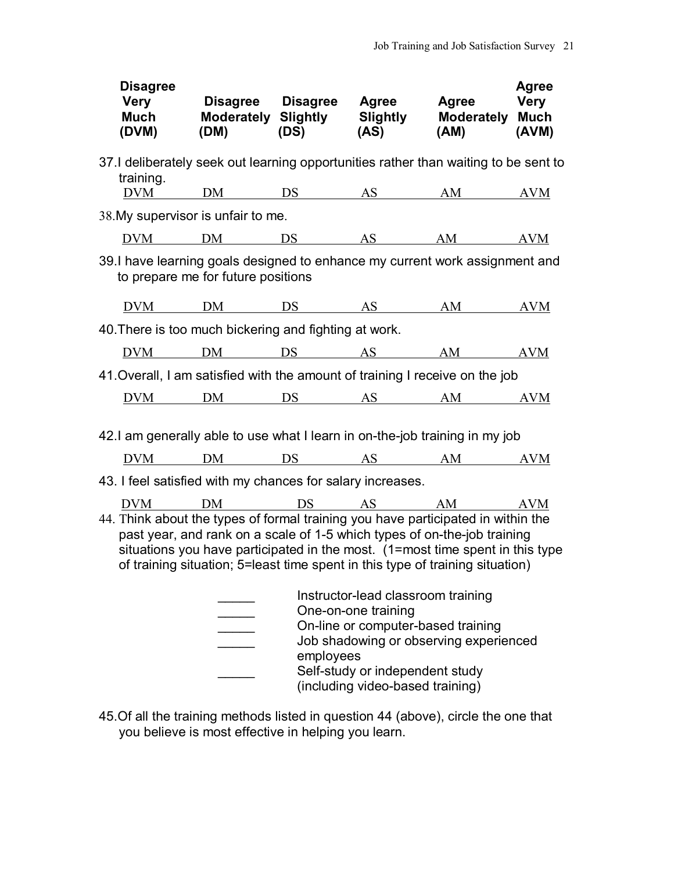| <b>Disagree</b><br>Very<br>(DVM)                                                                                                                                                                                                                                                                                               | Disagree Disagree Agree  Agree<br>Much Moderately Slightly Slightly Moderately Much |  | $(DM)$ $(DS)$ $(AS)$ | $(AM)$ $(AVM)$ | <b>Agree</b><br>Very |
|--------------------------------------------------------------------------------------------------------------------------------------------------------------------------------------------------------------------------------------------------------------------------------------------------------------------------------|-------------------------------------------------------------------------------------|--|----------------------|----------------|----------------------|
| 37.I deliberately seek out learning opportunities rather than waiting to be sent to<br>training.                                                                                                                                                                                                                               |                                                                                     |  |                      |                |                      |
|                                                                                                                                                                                                                                                                                                                                | <u>DVM DM DS AS AM AVM</u>                                                          |  |                      |                |                      |
| 38. My supervisor is unfair to me.                                                                                                                                                                                                                                                                                             |                                                                                     |  |                      |                |                      |
|                                                                                                                                                                                                                                                                                                                                | DVM DM DS AS AM AVM                                                                 |  |                      |                |                      |
| 39.I have learning goals designed to enhance my current work assignment and                                                                                                                                                                                                                                                    | to prepare me for future positions                                                  |  |                      |                |                      |
|                                                                                                                                                                                                                                                                                                                                | <u>DVM DM DS AS AM AVM</u>                                                          |  |                      |                |                      |
| 40. There is too much bickering and fighting at work.                                                                                                                                                                                                                                                                          |                                                                                     |  |                      |                |                      |
|                                                                                                                                                                                                                                                                                                                                | <u>DVM DM DS AS AM AVM</u>                                                          |  |                      |                |                      |
| 41 Overall, I am satisfied with the amount of training I receive on the job                                                                                                                                                                                                                                                    |                                                                                     |  |                      |                |                      |
|                                                                                                                                                                                                                                                                                                                                | <u>DVM DM DS AS AM AVM</u>                                                          |  |                      |                |                      |
| 42.I am generally able to use what I learn in on-the-job training in my job                                                                                                                                                                                                                                                    |                                                                                     |  |                      |                |                      |
|                                                                                                                                                                                                                                                                                                                                | <u>DVM DM DS AS AM AVM</u>                                                          |  |                      |                |                      |
| 43. I feel satisfied with my chances for salary increases.                                                                                                                                                                                                                                                                     |                                                                                     |  |                      |                |                      |
|                                                                                                                                                                                                                                                                                                                                | DVM DM DS AS AM AVM                                                                 |  |                      |                |                      |
| 44. Think about the types of formal training you have participated in within the<br>past year, and rank on a scale of 1-5 which types of on-the-job training<br>situations you have participated in the most. (1=most time spent in this type<br>of training situation; 5=least time spent in this type of training situation) |                                                                                     |  |                      |                |                      |
| Instructor-lead classroom training<br>One-on-one training<br>On-line or computer-based training<br>Job shadowing or observing experienced<br>employees<br>Self-study or independent study<br>(including video-based training)                                                                                                  |                                                                                     |  |                      |                |                      |

45.Of all the training methods listed in question 44 (above), circle the one that you believe is most effective in helping you learn.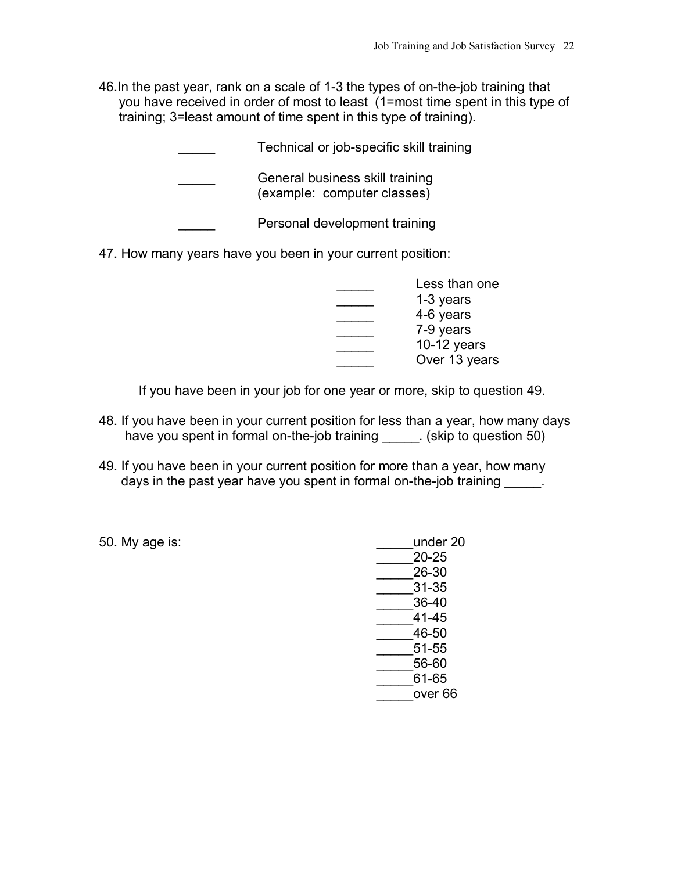46.In the past year, rank on a scale of 1-3 the types of on-the-job training that you have received in order of most to least (1=most time spent in this type of training; 3=least amount of time spent in this type of training).

Technical or job-specific skill training

General business skill training (example: computer classes)

Personal development training

47. How many years have you been in your current position:

|  | Less than one |
|--|---------------|
|  | 1-3 years     |
|  | 4-6 years     |
|  | 7-9 years     |
|  | $10-12$ years |
|  | Over 13 years |

If you have been in your job for one year or more, skip to question 49.

- 48. If you have been in your current position for less than a year, how many days have you spent in formal on-the-job training . (skip to question 50)
- 49. If you have been in your current position for more than a year, how many days in the past year have you spent in formal on-the-job training \_\_\_\_\_.

50. My age is: \_\_\_\_\_under 20 \_\_\_\_\_20-25 \_\_\_\_\_26-30 \_\_\_\_\_31-35 \_\_\_\_\_36-40 \_\_\_\_\_41-45 \_\_\_\_\_46-50 \_\_\_\_\_51-55 \_\_\_\_\_56-60 \_\_\_\_\_61-65 \_\_\_\_\_over 66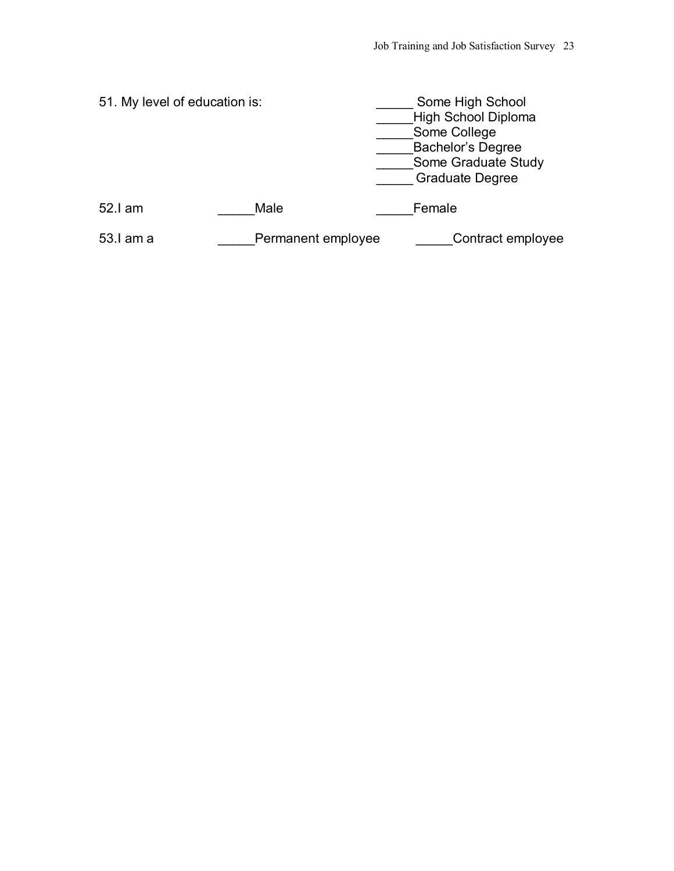| 51. My level of education is: |                    | Some High School<br>High School Diploma<br>Some College<br><b>Bachelor's Degree</b><br>Some Graduate Study<br><b>Graduate Degree</b> |
|-------------------------------|--------------------|--------------------------------------------------------------------------------------------------------------------------------------|
| 52.I am                       | Male               | Female                                                                                                                               |
| 53.I am a                     | Permanent employee | Contract employee                                                                                                                    |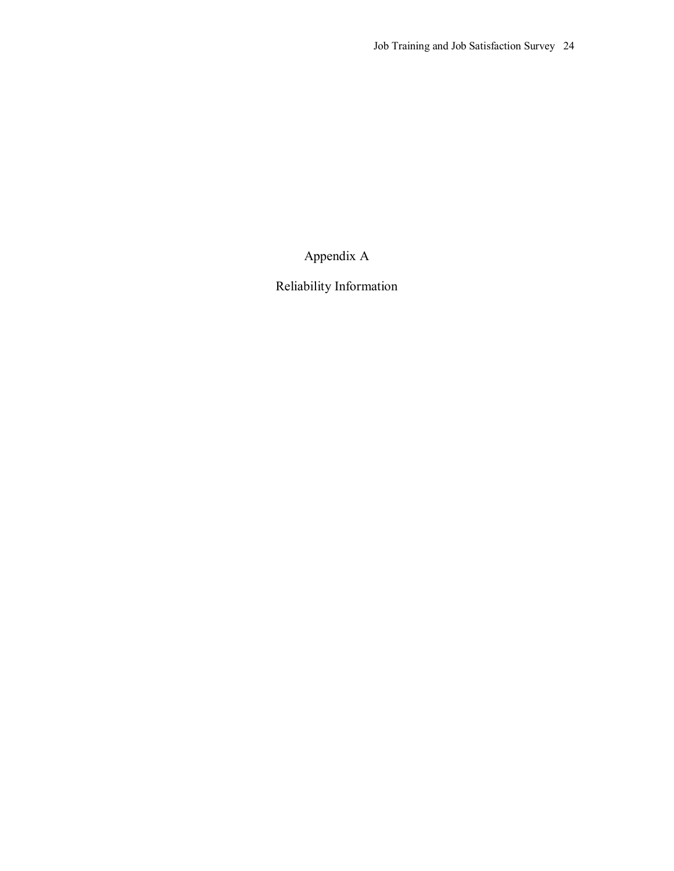Appendix A

Reliability Information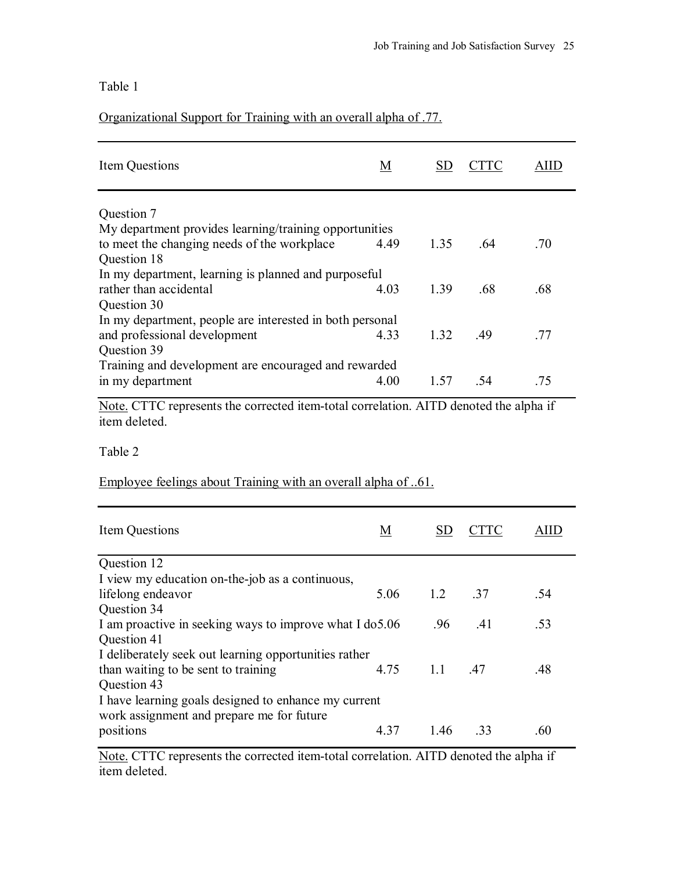# Organizational Support for Training with an overall alpha of .77.

| Item Questions                                           | M    |      |      |     |
|----------------------------------------------------------|------|------|------|-----|
| Question 7                                               |      |      |      |     |
| My department provides learning/training opportunities   |      |      |      |     |
| to meet the changing needs of the workplace              | 4.49 | 1.35 | -64  | .70 |
| Question 18                                              |      |      |      |     |
| In my department, learning is planned and purposeful     |      |      |      |     |
| rather than accidental                                   | 4.03 | 1.39 | .68  | .68 |
| Question 30                                              |      |      |      |     |
| In my department, people are interested in both personal |      |      |      |     |
| and professional development                             | 433  | 1.32 | - 49 | -77 |
| Question 39                                              |      |      |      |     |
| Training and development are encouraged and rewarded     |      |      |      |     |
| in my department                                         | 4.00 | 1.57 | -54  | .75 |
|                                                          |      |      |      |     |

Note. CTTC represents the corrected item-total correlation. AITD denoted the alpha if item deleted.

Table 2

## Employee feelings about Training with an overall alpha of ..61.

| Item Questions                                           | <u>M</u> | <b>SD</b>       |     |     |
|----------------------------------------------------------|----------|-----------------|-----|-----|
| Question 12                                              |          |                 |     |     |
| I view my education on-the-job as a continuous,          |          |                 |     |     |
| lifelong endeavor                                        | 5.06     | $1.2 \qquad 37$ |     | .54 |
| Question 34                                              |          |                 |     |     |
| I am proactive in seeking ways to improve what I do 5.06 |          | .96             | .41 | .53 |
| Question 41                                              |          |                 |     |     |
| I deliberately seek out learning opportunities rather    |          |                 |     |     |
| than waiting to be sent to training                      | 4.75     | 1.1             | .47 | .48 |
| Question 43                                              |          |                 |     |     |
| I have learning goals designed to enhance my current     |          |                 |     |     |
| work assignment and prepare me for future                |          |                 |     |     |
| positions                                                | 4.37     | 146             | -33 | .60 |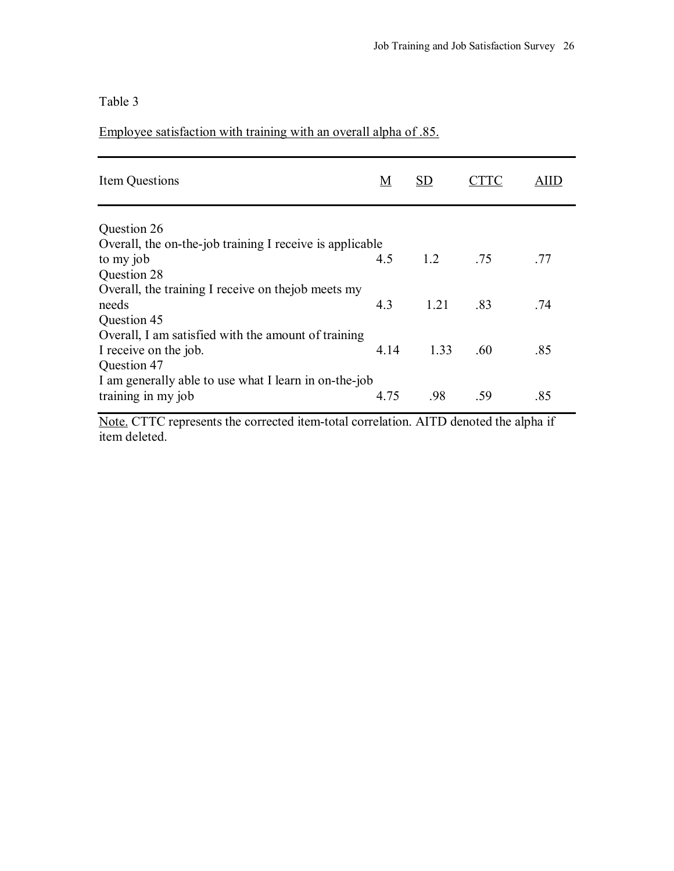Employee satisfaction with training with an overall alpha of .85.

| Item Questions                                                                              | M    | SD                                       |     |     |
|---------------------------------------------------------------------------------------------|------|------------------------------------------|-----|-----|
| Question 26                                                                                 |      |                                          |     |     |
| Overall, the on-the-job training I receive is applicable                                    |      |                                          |     |     |
| to my job                                                                                   | 4.5  | $\begin{array}{ccc} & 1 & 2 \end{array}$ | .75 | .77 |
| Question 28                                                                                 |      |                                          |     |     |
| Overall, the training I receive on the job meets my<br>needs                                | 4.3  | 1.21                                     | .83 | .74 |
| Question 45                                                                                 |      |                                          |     |     |
| Overall, I am satisfied with the amount of training<br>I receive on the job.<br>Question 47 | 4.14 | 1.33                                     | .60 | .85 |
| I am generally able to use what I learn in on-the-job<br>training in my job                 | 4.75 | .98                                      | -59 | .85 |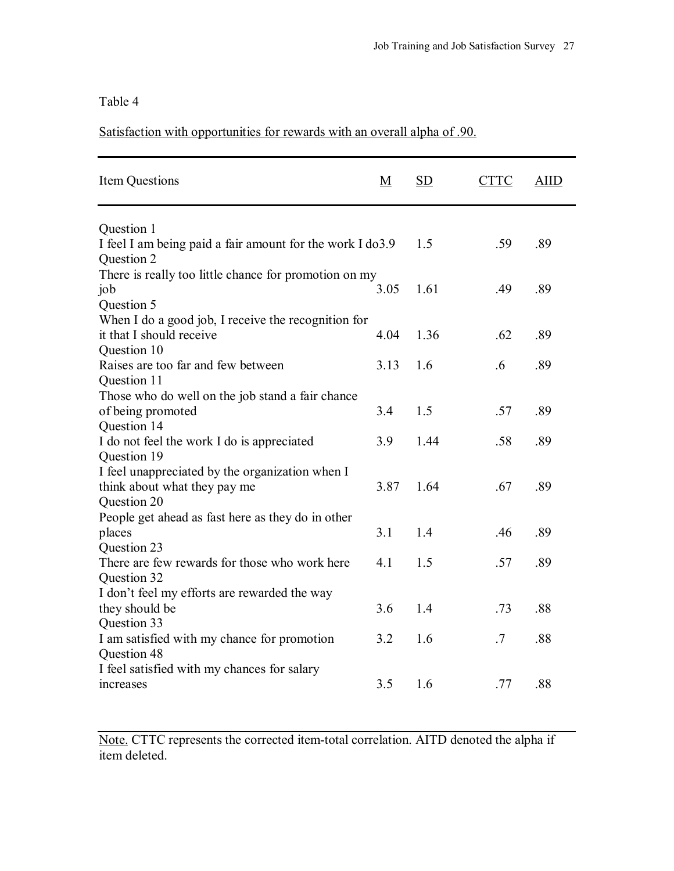Satisfaction with opportunities for rewards with an overall alpha of .90.

| Item Questions                                             | <u>M</u> | SD   | <b>CTTC</b> | <b>AIID</b> |  |
|------------------------------------------------------------|----------|------|-------------|-------------|--|
| Question 1                                                 |          |      |             |             |  |
| I feel I am being paid a fair amount for the work I do 3.9 |          | 1.5  | .59         | .89         |  |
| Question 2                                                 |          |      |             |             |  |
| There is really too little chance for promotion on my      |          |      |             |             |  |
| job                                                        | 3.05     | 1.61 | .49         | .89         |  |
| Question 5                                                 |          |      |             |             |  |
| When I do a good job, I receive the recognition for        |          |      |             |             |  |
| it that I should receive                                   | 4.04     | 1.36 | .62         | .89         |  |
| Question 10                                                |          |      |             |             |  |
| Raises are too far and few between                         | 3.13     | 1.6  | .6          | .89         |  |
| Question 11                                                |          |      |             |             |  |
| Those who do well on the job stand a fair chance           |          |      |             |             |  |
| of being promoted                                          | 3.4      | 1.5  | .57         | .89         |  |
| Question 14                                                |          |      |             |             |  |
| I do not feel the work I do is appreciated                 | 3.9      | 1.44 | .58         | .89         |  |
| Question 19                                                |          |      |             |             |  |
| I feel unappreciated by the organization when I            |          |      |             |             |  |
| think about what they pay me                               | 3.87     | 1.64 | .67         | .89         |  |
| Question 20                                                |          |      |             |             |  |
| People get ahead as fast here as they do in other          |          |      |             |             |  |
| places                                                     | 3.1      | 1.4  | .46         | .89         |  |
| Question 23                                                |          |      |             |             |  |
| There are few rewards for those who work here              | 4.1      | 1.5  | .57         | .89         |  |
| Question 32                                                |          |      |             |             |  |
| I don't feel my efforts are rewarded the way               |          |      |             |             |  |
| they should be                                             | 3.6      | 1.4  | .73         | .88         |  |
| Question 33                                                |          |      |             |             |  |
| I am satisfied with my chance for promotion                | 3.2      | 1.6  | .7          | .88         |  |
| Question 48                                                |          |      |             |             |  |
| I feel satisfied with my chances for salary                |          |      |             |             |  |
| increases                                                  | 3.5      | 1.6  | .77         | .88         |  |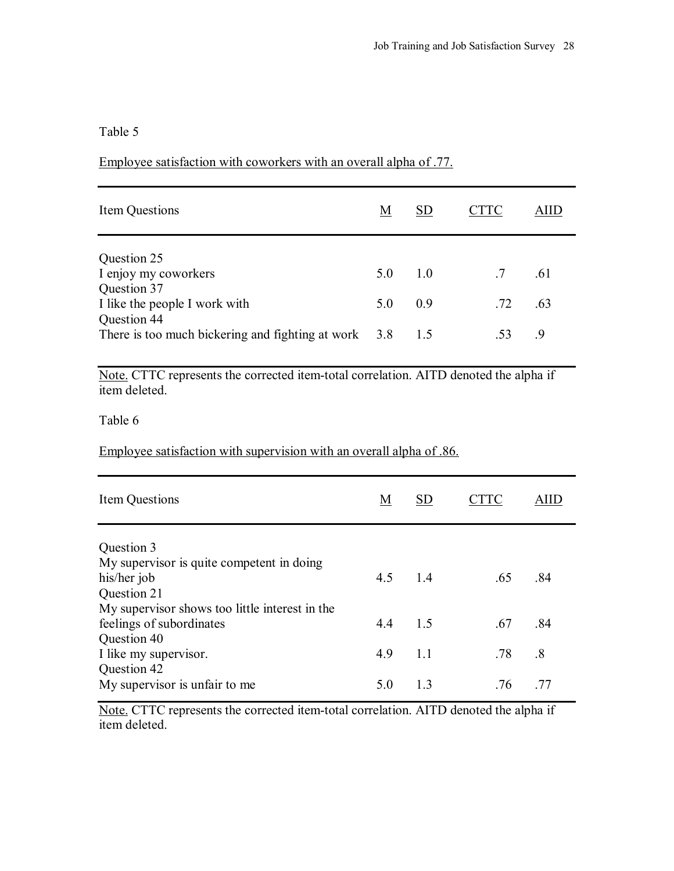## Employee satisfaction with coworkers with an overall alpha of .77.

| Item Questions                                                        | М   | <b>SD</b>                             | .TTC            | AIID |
|-----------------------------------------------------------------------|-----|---------------------------------------|-----------------|------|
| Question 25                                                           |     |                                       |                 |      |
| I enjoy my coworkers                                                  | 5.0 | $\begin{array}{cc} 1 & 0 \end{array}$ | $.7\phantom{0}$ | .61  |
| Question 37<br>I like the people I work with                          | 5.0 | 09                                    | .72             | .63  |
| Question 44<br>There is too much bickering and fighting at work $3.8$ |     | 15                                    | .53             | -9   |

Note. CTTC represents the corrected item-total correlation. AITD denoted the alpha if item deleted.

Table 6

Employee satisfaction with supervision with an overall alpha of .86.

| Item Questions                                 | M   | SD  | $\cup$ FC |                        |
|------------------------------------------------|-----|-----|-----------|------------------------|
| Question 3                                     |     |     |           |                        |
| My supervisor is quite competent in doing      |     |     |           |                        |
| his/her job                                    | 4.5 | 1.4 | .65       | .84                    |
| Question 21                                    |     |     |           |                        |
| My supervisor shows too little interest in the |     |     |           |                        |
| feelings of subordinates                       | 44  | 1.5 | .67       | .84                    |
| Question 40                                    |     |     |           |                        |
| I like my supervisor.                          | 4.9 | 1.1 | .78       | $\cdot$ <sup>8</sup> . |
| Question 42                                    |     |     |           |                        |
| My supervisor is unfair to me                  | 5.0 | 1.3 | .76       | -77                    |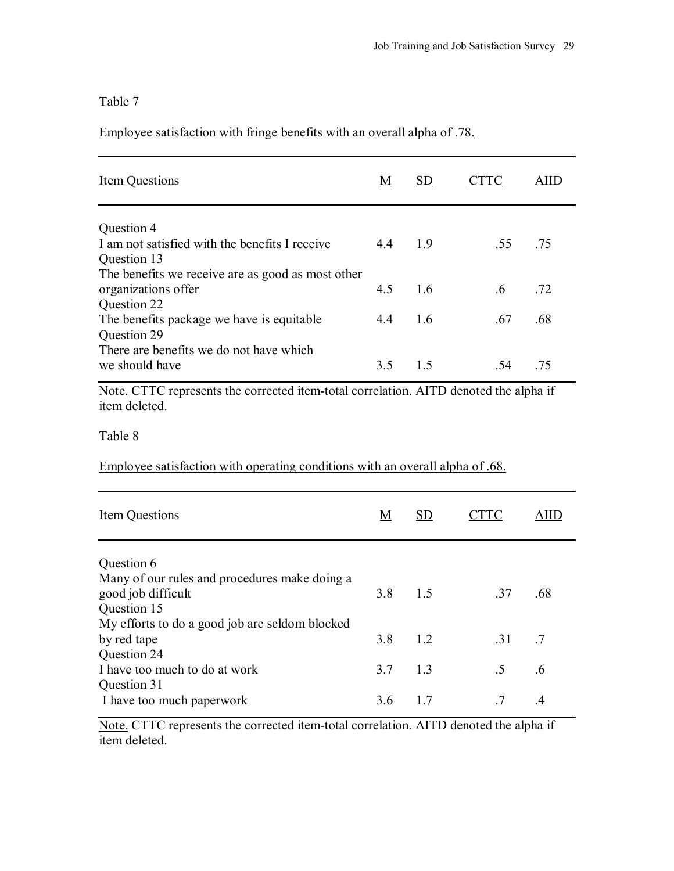Employee satisfaction with fringe benefits with an overall alpha of .78.

| <b>Item Questions</b>                                                                    | M   | <b>SD</b> | CTTC        | <b>AIID</b> |
|------------------------------------------------------------------------------------------|-----|-----------|-------------|-------------|
| Question 4                                                                               |     |           |             |             |
| I am not satisfied with the benefits I receive<br>Question 13                            | 4.4 | 1.9       | .55         | .75         |
| The benefits we receive are as good as most other<br>organizations offer<br>Question 22  | 4.5 | 1.6       | $.6\,$      | .72         |
| The benefits package we have is equitable<br>Question 29                                 | 4.4 | 1.6       | .67         | .68         |
| There are benefits we do not have which                                                  |     |           |             |             |
| we should have                                                                           | 3.5 | 1.5       | .54         | .75         |
| Table 8<br>Employee satisfaction with operating conditions with an overall alpha of .68. |     |           |             |             |
| Item Questions                                                                           | M   | <b>SD</b> | <b>CTTC</b> | <b>AIID</b> |
| Question 6                                                                               |     |           |             |             |
| Many of our rules and procedures make doing a                                            |     |           |             |             |
| good job difficult                                                                       | 3.8 | 1.5       | .37         | .68         |
| Question 15<br>My efforts to do a good job are seldom blocked                            |     |           |             |             |
| by red tape                                                                              | 3.8 | 1.2       | .31         | .7          |
| Question 24                                                                              |     |           |             |             |
| I have too much to do at work<br>Question 31                                             | 3.7 | 1.3       | .5          | .6          |
| I have too much paperwork                                                                | 3.6 | 1.7       | .7          | .4          |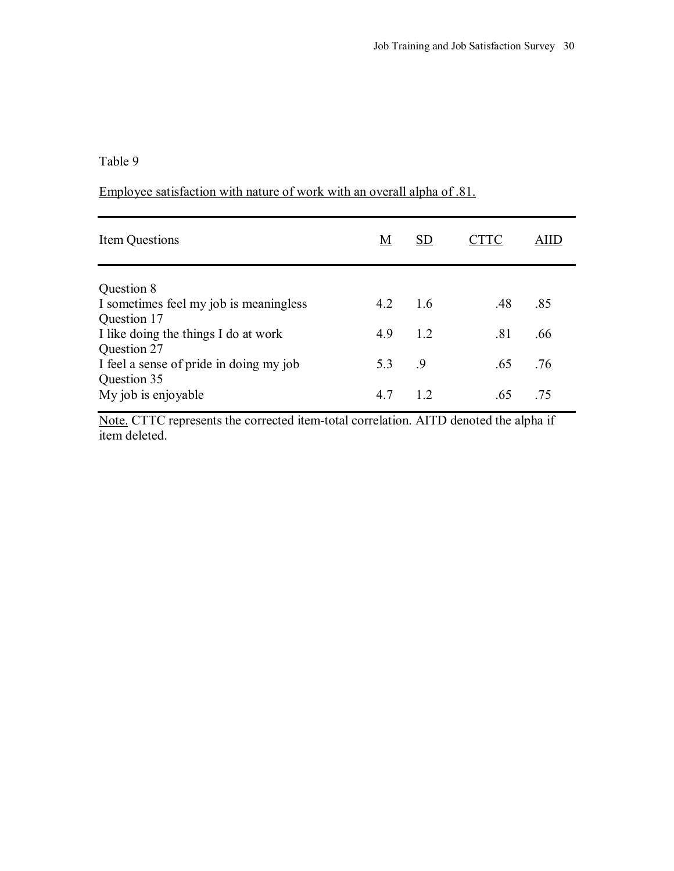# Employee satisfaction with nature of work with an overall alpha of .81.

| Item Questions                          | <u>M</u> | <b>SD</b> |     |     |
|-----------------------------------------|----------|-----------|-----|-----|
| Question 8                              |          |           |     |     |
| I sometimes feel my job is meaningless  | 4.2      | 16        | .48 | .85 |
| Question 17                             |          |           |     |     |
| I like doing the things I do at work    | 4.9      | 1.2       | .81 | .66 |
| Question 27                             |          |           |     |     |
| I feel a sense of pride in doing my job | 5.3      | - 9       | .65 | .76 |
| Question 35                             |          |           |     |     |
| My job is enjoyable                     | 4.7      | 12        | .65 | -75 |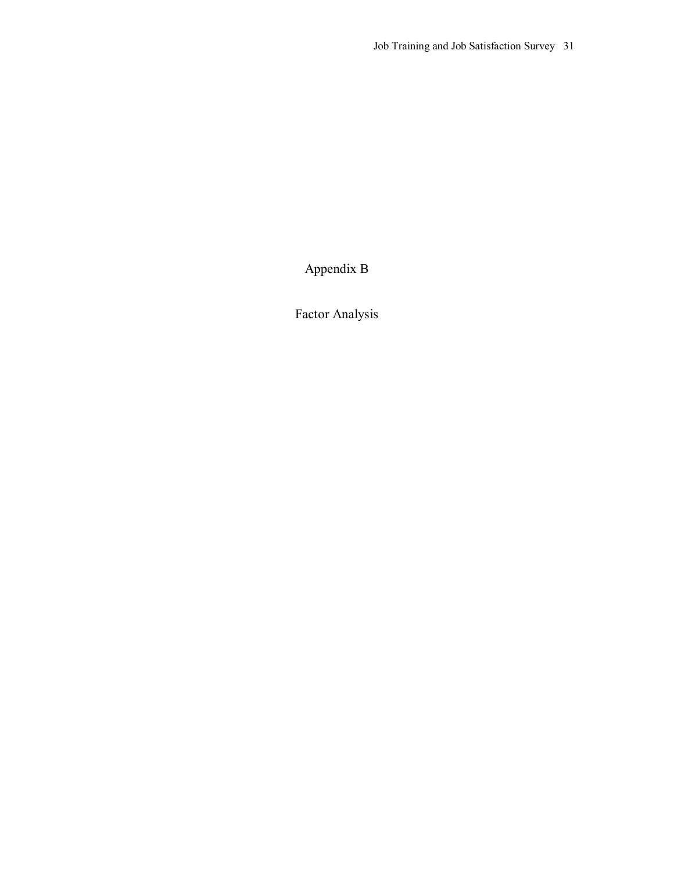Appendix B

Factor Analysis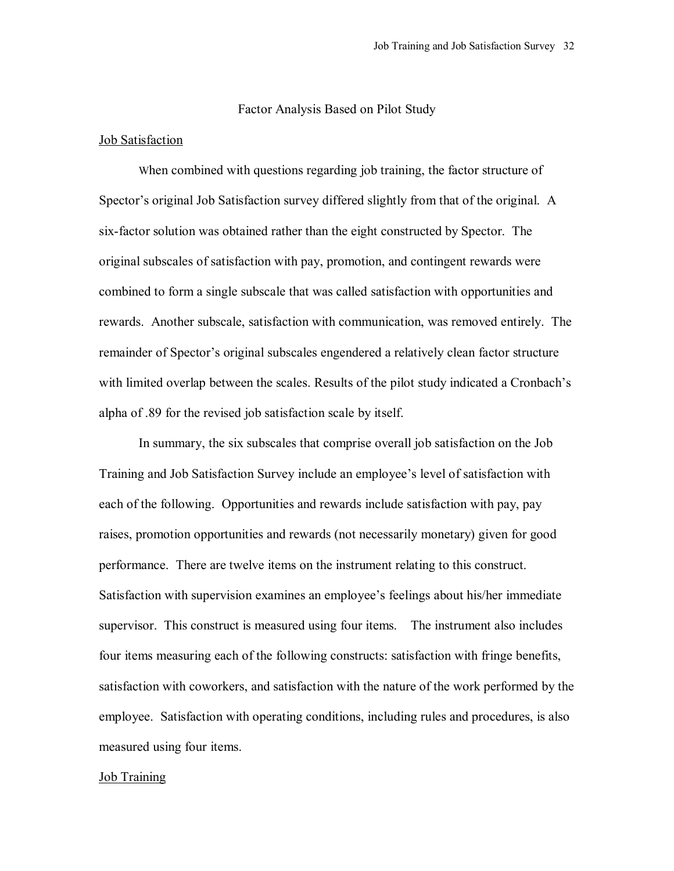#### Factor Analysis Based on Pilot Study

#### Job Satisfaction

When combined with questions regarding job training, the factor structure of Spector's original Job Satisfaction survey differed slightly from that of the original. A six-factor solution was obtained rather than the eight constructed by Spector. The original subscales of satisfaction with pay, promotion, and contingent rewards were combined to form a single subscale that was called satisfaction with opportunities and rewards. Another subscale, satisfaction with communication, was removed entirely. The remainder of Spector's original subscales engendered a relatively clean factor structure with limited overlap between the scales. Results of the pilot study indicated a Cronbach's alpha of .89 for the revised job satisfaction scale by itself.

In summary, the six subscales that comprise overall job satisfaction on the Job Training and Job Satisfaction Survey include an employee's level of satisfaction with each of the following. Opportunities and rewards include satisfaction with pay, pay raises, promotion opportunities and rewards (not necessarily monetary) given for good performance. There are twelve items on the instrument relating to this construct. Satisfaction with supervision examines an employee's feelings about his/her immediate supervisor. This construct is measured using four items. The instrument also includes four items measuring each of the following constructs: satisfaction with fringe benefits, satisfaction with coworkers, and satisfaction with the nature of the work performed by the employee. Satisfaction with operating conditions, including rules and procedures, is also measured using four items.

#### Job Training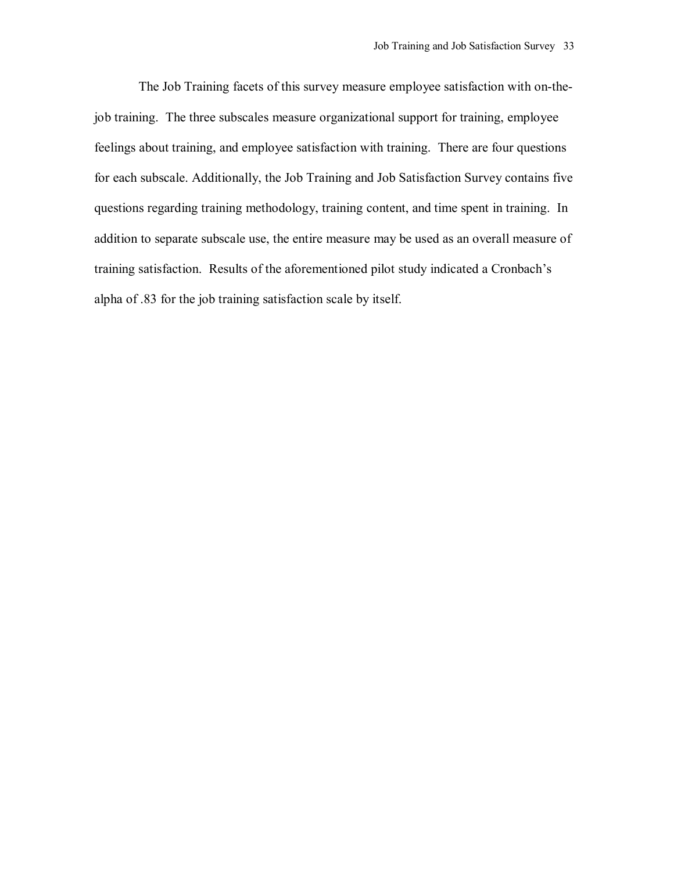The Job Training facets of this survey measure employee satisfaction with on-thejob training. The three subscales measure organizational support for training, employee feelings about training, and employee satisfaction with training. There are four questions for each subscale. Additionally, the Job Training and Job Satisfaction Survey contains five questions regarding training methodology, training content, and time spent in training. In addition to separate subscale use, the entire measure may be used as an overall measure of training satisfaction. Results of the aforementioned pilot study indicated a Cronbach's alpha of .83 for the job training satisfaction scale by itself.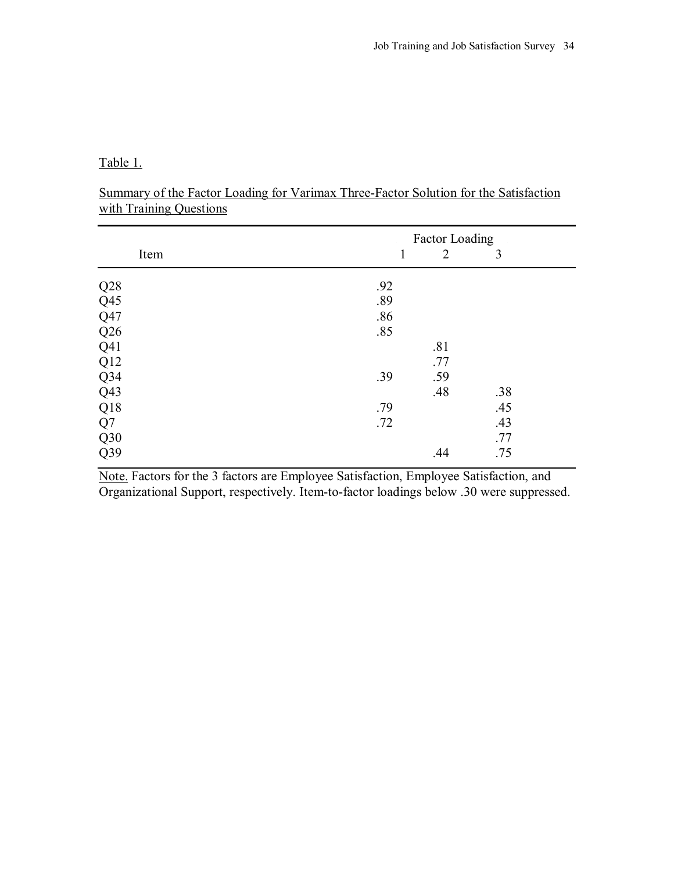Table 1.

| Summary of the Factor Loading for Varimax Three-Factor Solution for the Satisfaction |  |  |
|--------------------------------------------------------------------------------------|--|--|
| with Training Questions                                                              |  |  |

|                 | <b>Factor Loading</b> |                |     |  |
|-----------------|-----------------------|----------------|-----|--|
| Item            | 1                     | $\overline{2}$ | 3   |  |
| Q28             | .92                   |                |     |  |
| Q <sub>45</sub> | .89                   |                |     |  |
| Q47             | .86                   |                |     |  |
| Q26             | .85                   |                |     |  |
| Q41             |                       | .81            |     |  |
| Q12             |                       | .77            |     |  |
| $Q$ 34          | .39                   | .59            |     |  |
| Q43             |                       | .48            | .38 |  |
| Q18             | .79                   |                | .45 |  |
| Q7              | .72                   |                | .43 |  |
| Q30             |                       |                | .77 |  |
| Q39             |                       | .44            | .75 |  |

Note. Factors for the 3 factors are Employee Satisfaction, Employee Satisfaction, and Organizational Support, respectively. Item-to-factor loadings below .30 were suppressed.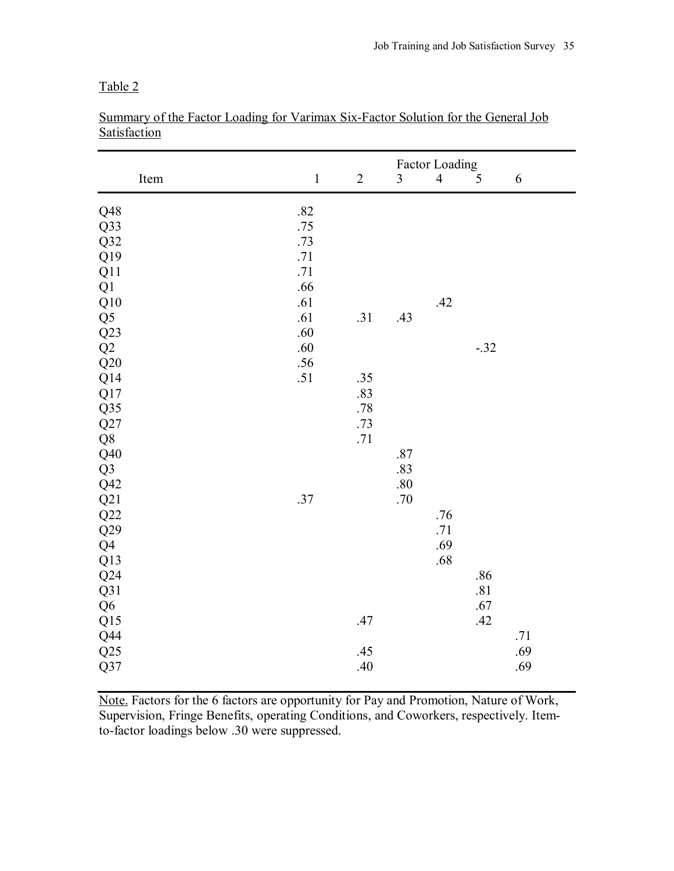|                |         |            | Factor Loading |                |        |     |
|----------------|---------|------------|----------------|----------------|--------|-----|
| Item           | $\,1\,$ | $\sqrt{2}$ | 3              | $\overline{4}$ | 5      | 6   |
| Q48            | .82     |            |                |                |        |     |
| Q33            | .75     |            |                |                |        |     |
| Q32            | .73     |            |                |                |        |     |
| Q19            | $.71\,$ |            |                |                |        |     |
| Q11            | .71     |            |                |                |        |     |
| Q1             | .66     |            |                |                |        |     |
| $\rm Q10$      | .61     |            |                | .42            |        |     |
| Q <sub>5</sub> | .61     | .31        | .43            |                |        |     |
| Q23            | .60     |            |                |                |        |     |
| Q2             | .60     |            |                |                | $-.32$ |     |
| Q20            | .56     |            |                |                |        |     |
| Q14            | .51     | .35        |                |                |        |     |
| Q17            |         | .83        |                |                |        |     |
| Q35            |         | .78        |                |                |        |     |
| Q27            |         | .73        |                |                |        |     |
| Q8             |         | .71        |                |                |        |     |
| Q40            |         |            | .87            |                |        |     |
| Q <sub>3</sub> |         |            | .83            |                |        |     |
| Q42            |         |            | $.80\,$        |                |        |     |
| Q21            | .37     |            | .70            |                |        |     |
| Q22            |         |            |                | .76            |        |     |
| Q29            |         |            |                | .71            |        |     |
| Q <sub>4</sub> |         |            |                | .69            |        |     |
| Q13            |         |            |                | .68            |        |     |
| Q24            |         |            |                |                | .86    |     |
| Q31            |         |            |                |                | .81    |     |
| Q <sub>6</sub> |         |            |                |                | .67    |     |
| Q15            |         | .47        |                |                | .42    |     |
| Q44            |         |            |                |                |        | .71 |
| Q25            |         | .45        |                |                |        | .69 |
| Q37            |         | .40        |                |                |        | .69 |

Summary of the Factor Loading for Varimax Six-Factor Solution for the General Job **Satisfaction** 

Note. Factors for the 6 factors are opportunity for Pay and Promotion, Nature of Work, Supervision, Fringe Benefits, operating Conditions, and Coworkers, respectively. Itemto-factor loadings below .30 were suppressed.